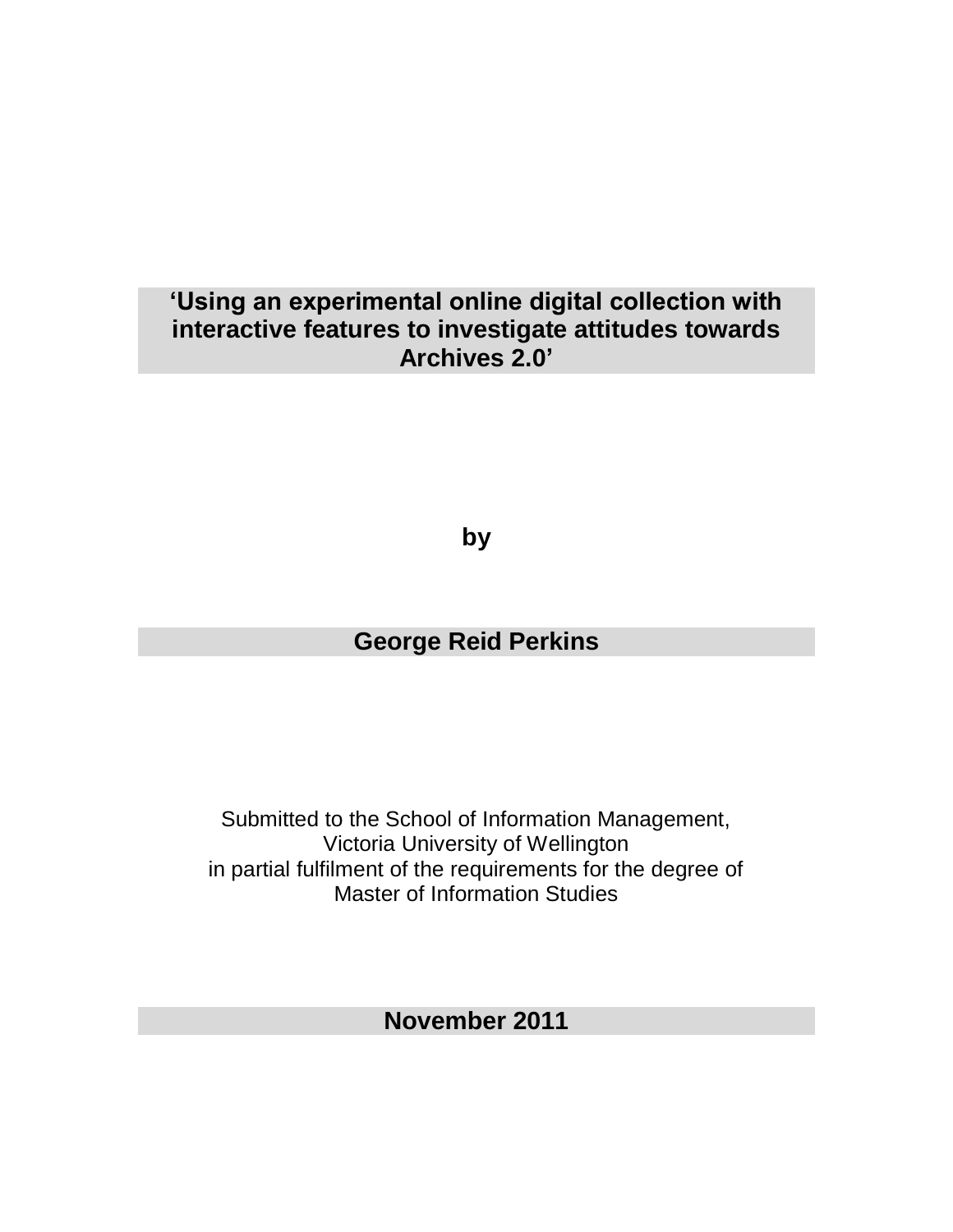## **'Using an experimental online digital collection with interactive features to investigate attitudes towards Archives 2.0'**

**by**

## **George Reid Perkins**

Submitted to the School of Information Management, Victoria University of Wellington in partial fulfilment of the requirements for the degree of Master of Information Studies

**November 2011**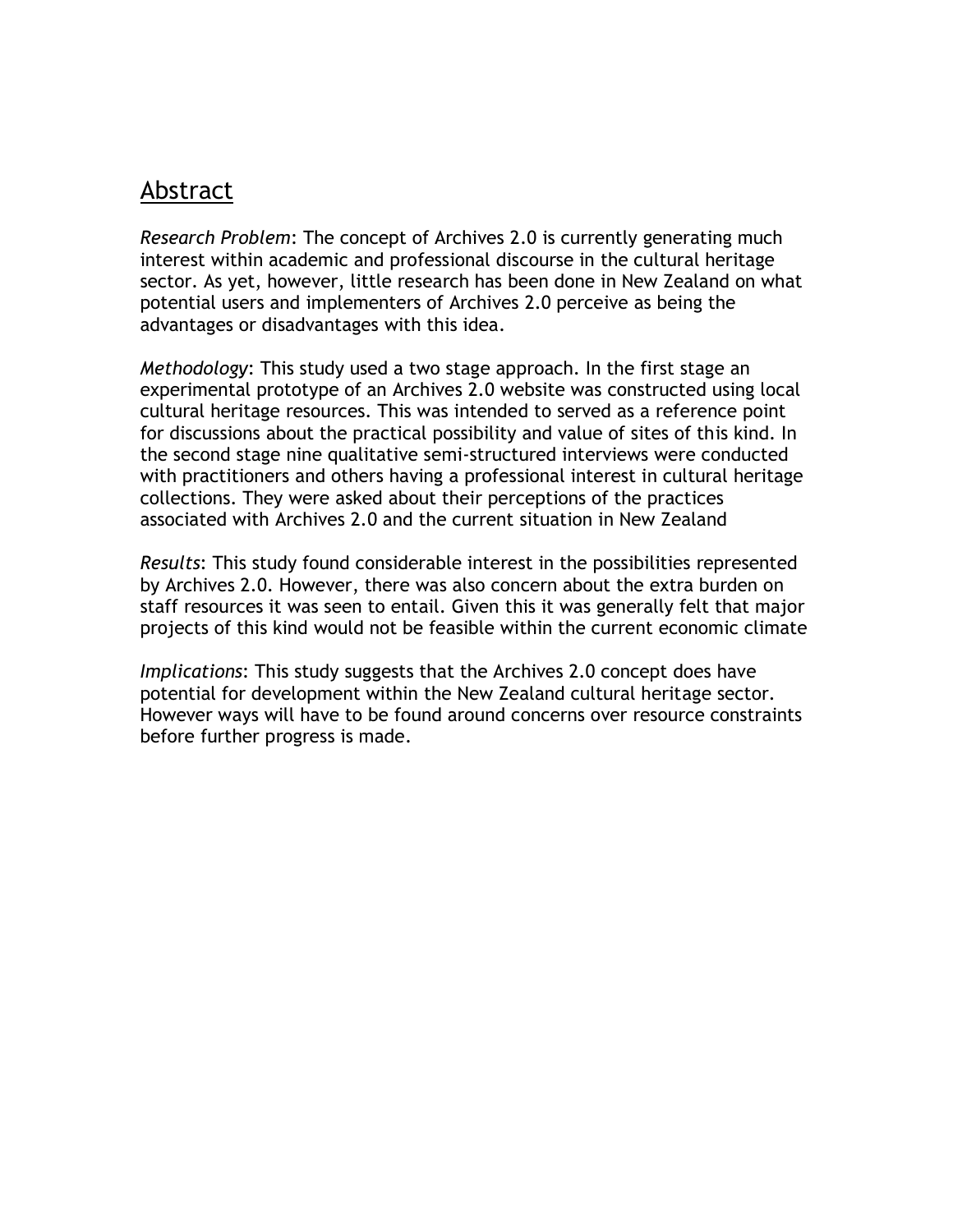## Abstract

*Research Problem*: The concept of Archives 2.0 is currently generating much interest within academic and professional discourse in the cultural heritage sector. As yet, however, little research has been done in New Zealand on what potential users and implementers of Archives 2.0 perceive as being the advantages or disadvantages with this idea.

*Methodology*: This study used a two stage approach. In the first stage an experimental prototype of an Archives 2.0 website was constructed using local cultural heritage resources. This was intended to served as a reference point for discussions about the practical possibility and value of sites of this kind. In the second stage nine qualitative semi-structured interviews were conducted with practitioners and others having a professional interest in cultural heritage collections. They were asked about their perceptions of the practices associated with Archives 2.0 and the current situation in New Zealand

*Results*: This study found considerable interest in the possibilities represented by Archives 2.0. However, there was also concern about the extra burden on staff resources it was seen to entail. Given this it was generally felt that major projects of this kind would not be feasible within the current economic climate

*Implications*: This study suggests that the Archives 2.0 concept does have potential for development within the New Zealand cultural heritage sector. However ways will have to be found around concerns over resource constraints before further progress is made.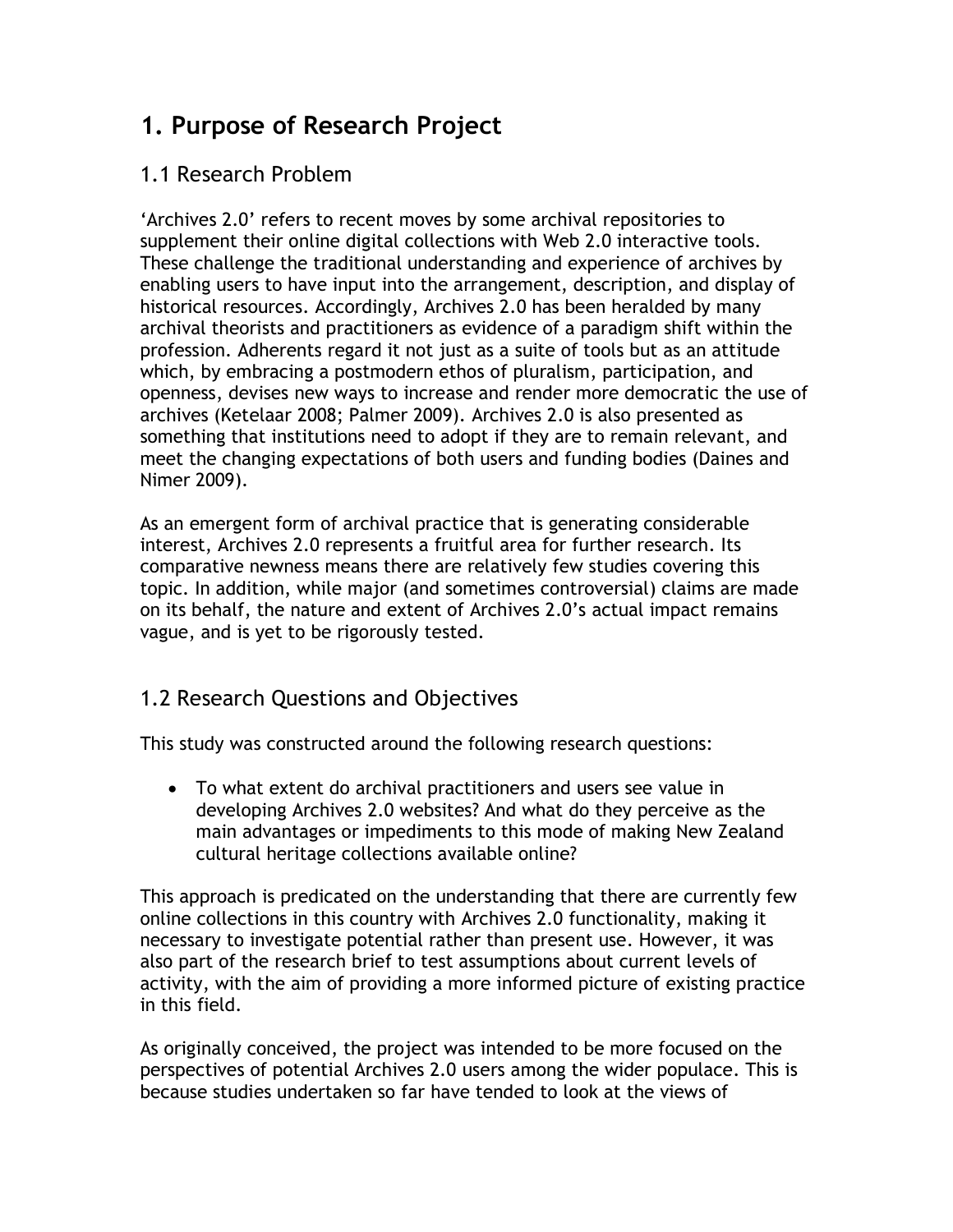# **1. Purpose of Research Project**

## 1.1 Research Problem

‗Archives 2.0' refers to recent moves by some archival repositories to supplement their online digital collections with Web 2.0 interactive tools. These challenge the traditional understanding and experience of archives by enabling users to have input into the arrangement, description, and display of historical resources. Accordingly, Archives 2.0 has been heralded by many archival theorists and practitioners as evidence of a paradigm shift within the profession. Adherents regard it not just as a suite of tools but as an attitude which, by embracing a postmodern ethos of pluralism, participation, and openness, devises new ways to increase and render more democratic the use of archives (Ketelaar 2008; Palmer 2009). Archives 2.0 is also presented as something that institutions need to adopt if they are to remain relevant, and meet the changing expectations of both users and funding bodies (Daines and Nimer 2009).

As an emergent form of archival practice that is generating considerable interest, Archives 2.0 represents a fruitful area for further research. Its comparative newness means there are relatively few studies covering this topic. In addition, while major (and sometimes controversial) claims are made on its behalf, the nature and extent of Archives 2.0's actual impact remains vague, and is yet to be rigorously tested.

## 1.2 Research Questions and Objectives

This study was constructed around the following research questions:

 To what extent do archival practitioners and users see value in developing Archives 2.0 websites? And what do they perceive as the main advantages or impediments to this mode of making New Zealand cultural heritage collections available online?

This approach is predicated on the understanding that there are currently few online collections in this country with Archives 2.0 functionality, making it necessary to investigate potential rather than present use. However, it was also part of the research brief to test assumptions about current levels of activity, with the aim of providing a more informed picture of existing practice in this field.

As originally conceived, the project was intended to be more focused on the perspectives of potential Archives 2.0 users among the wider populace. This is because studies undertaken so far have tended to look at the views of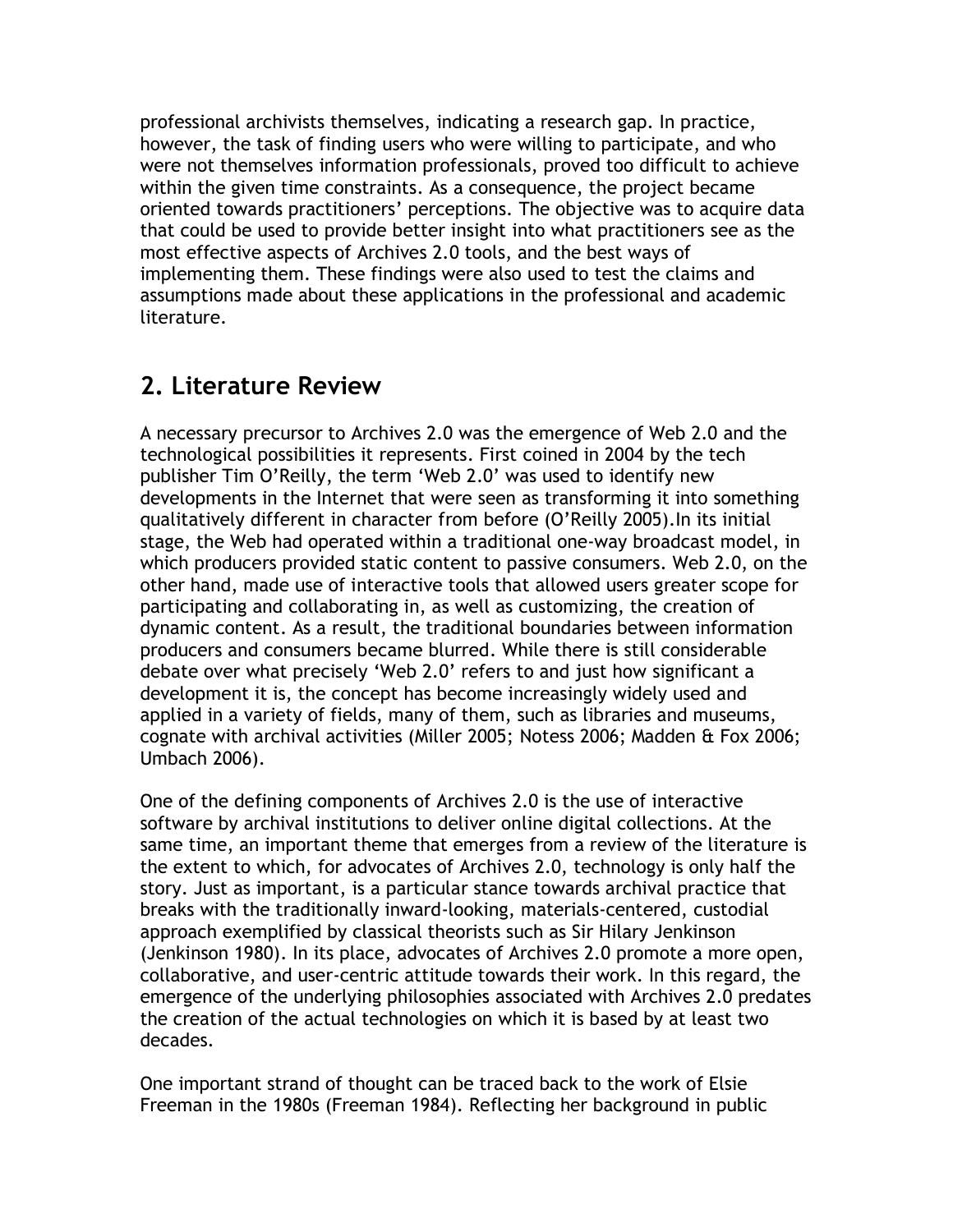professional archivists themselves, indicating a research gap. In practice, however, the task of finding users who were willing to participate, and who were not themselves information professionals, proved too difficult to achieve within the given time constraints. As a consequence, the project became oriented towards practitioners' perceptions. The objective was to acquire data that could be used to provide better insight into what practitioners see as the most effective aspects of Archives 2.0 tools, and the best ways of implementing them. These findings were also used to test the claims and assumptions made about these applications in the professional and academic literature.

## **2. Literature Review**

A necessary precursor to Archives 2.0 was the emergence of Web 2.0 and the technological possibilities it represents. First coined in 2004 by the tech publisher Tim O'Reilly, the term 'Web 2.0' was used to identify new developments in the Internet that were seen as transforming it into something qualitatively different in character from before (O'Reilly 2005).In its initial stage, the Web had operated within a traditional one-way broadcast model, in which producers provided static content to passive consumers. Web 2.0, on the other hand, made use of interactive tools that allowed users greater scope for participating and collaborating in, as well as customizing, the creation of dynamic content. As a result, the traditional boundaries between information producers and consumers became blurred. While there is still considerable debate over what precisely 'Web 2.0' refers to and just how significant a development it is, the concept has become increasingly widely used and applied in a variety of fields, many of them, such as libraries and museums, cognate with archival activities (Miller 2005; Notess 2006; Madden & Fox 2006; Umbach 2006).

One of the defining components of Archives 2.0 is the use of interactive software by archival institutions to deliver online digital collections. At the same time, an important theme that emerges from a review of the literature is the extent to which, for advocates of Archives 2.0, technology is only half the story. Just as important, is a particular stance towards archival practice that breaks with the traditionally inward-looking, materials-centered, custodial approach exemplified by classical theorists such as Sir Hilary Jenkinson (Jenkinson 1980). In its place, advocates of Archives 2.0 promote a more open, collaborative, and user-centric attitude towards their work. In this regard, the emergence of the underlying philosophies associated with Archives 2.0 predates the creation of the actual technologies on which it is based by at least two decades.

One important strand of thought can be traced back to the work of Elsie Freeman in the 1980s (Freeman 1984). Reflecting her background in public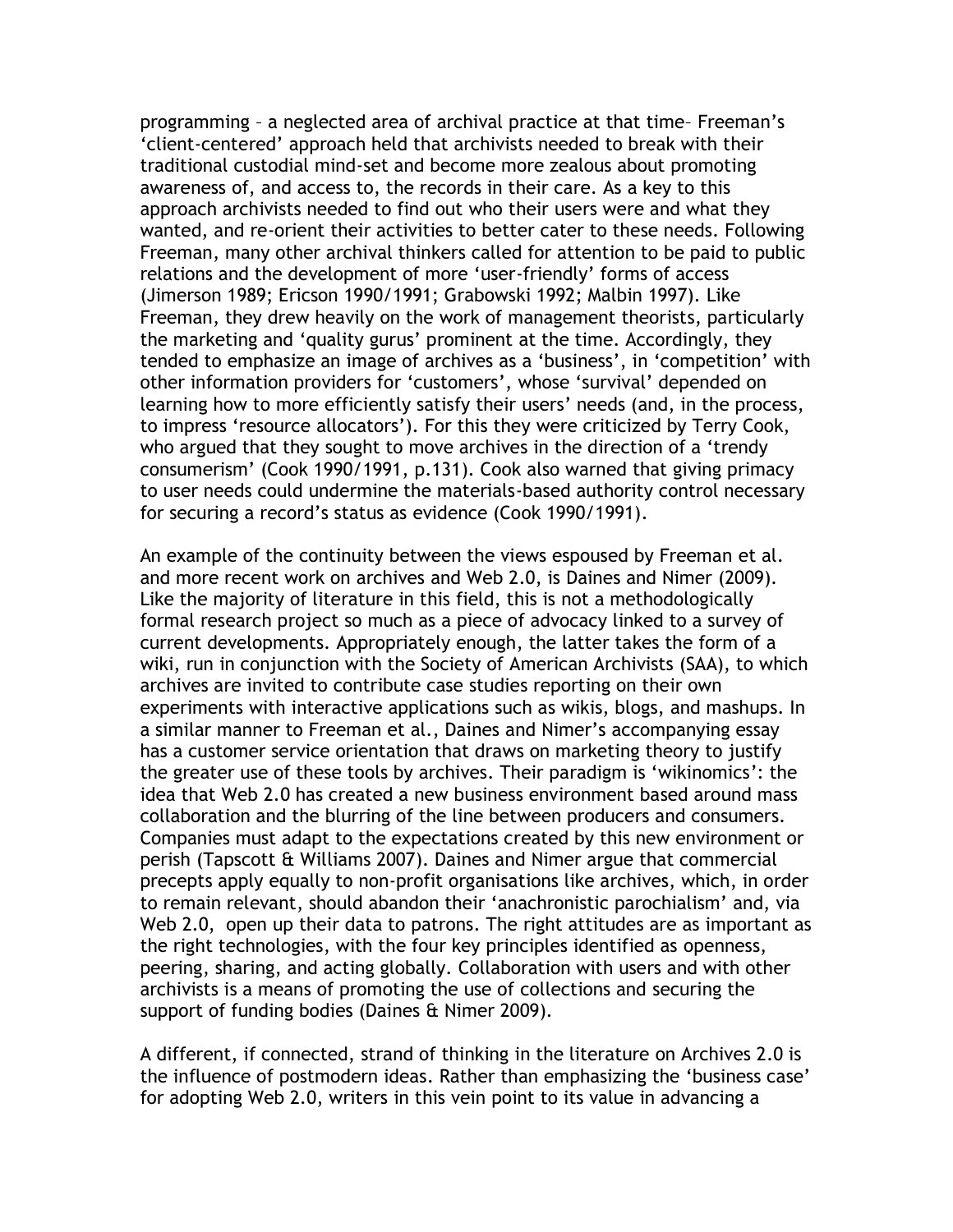programming – a neglected area of archival practice at that time– Freeman's ‗client-centered' approach held that archivists needed to break with their traditional custodial mind-set and become more zealous about promoting awareness of, and access to, the records in their care. As a key to this approach archivists needed to find out who their users were and what they wanted, and re-orient their activities to better cater to these needs. Following Freeman, many other archival thinkers called for attention to be paid to public relations and the development of more 'user-friendly' forms of access (Jimerson 1989; Ericson 1990/1991; Grabowski 1992; Malbin 1997). Like Freeman, they drew heavily on the work of management theorists, particularly the marketing and 'quality gurus' prominent at the time. Accordingly, they tended to emphasize an image of archives as a 'business', in 'competition' with other information providers for 'customers', whose 'survival' depended on learning how to more efficiently satisfy their users' needs (and, in the process, to impress ‗resource allocators'). For this they were criticized by Terry Cook, who argued that they sought to move archives in the direction of a 'trendy consumerism' (Cook 1990/1991, p.131). Cook also warned that giving primacy to user needs could undermine the materials-based authority control necessary for securing a record's status as evidence (Cook 1990/1991).

An example of the continuity between the views espoused by Freeman et al. and more recent work on archives and Web 2.0, is Daines and Nimer (2009). Like the majority of literature in this field, this is not a methodologically formal research project so much as a piece of advocacy linked to a survey of current developments. Appropriately enough, the latter takes the form of a wiki, run in conjunction with the Society of American Archivists (SAA), to which archives are invited to contribute case studies reporting on their own experiments with interactive applications such as wikis, blogs, and mashups. In a similar manner to Freeman et al., Daines and Nimer's accompanying essay has a customer service orientation that draws on marketing theory to justify the greater use of these tools by archives. Their paradigm is 'wikinomics': the idea that Web 2.0 has created a new business environment based around mass collaboration and the blurring of the line between producers and consumers. Companies must adapt to the expectations created by this new environment or perish (Tapscott & Williams 2007). Daines and Nimer argue that commercial precepts apply equally to non-profit organisations like archives, which, in order to remain relevant, should abandon their ‗anachronistic parochialism' and, via Web 2.0, open up their data to patrons. The right attitudes are as important as the right technologies, with the four key principles identified as openness, peering, sharing, and acting globally. Collaboration with users and with other archivists is a means of promoting the use of collections and securing the support of funding bodies (Daines & Nimer 2009).

A different, if connected, strand of thinking in the literature on Archives 2.0 is the influence of postmodern ideas. Rather than emphasizing the 'business case' for adopting Web 2.0, writers in this vein point to its value in advancing a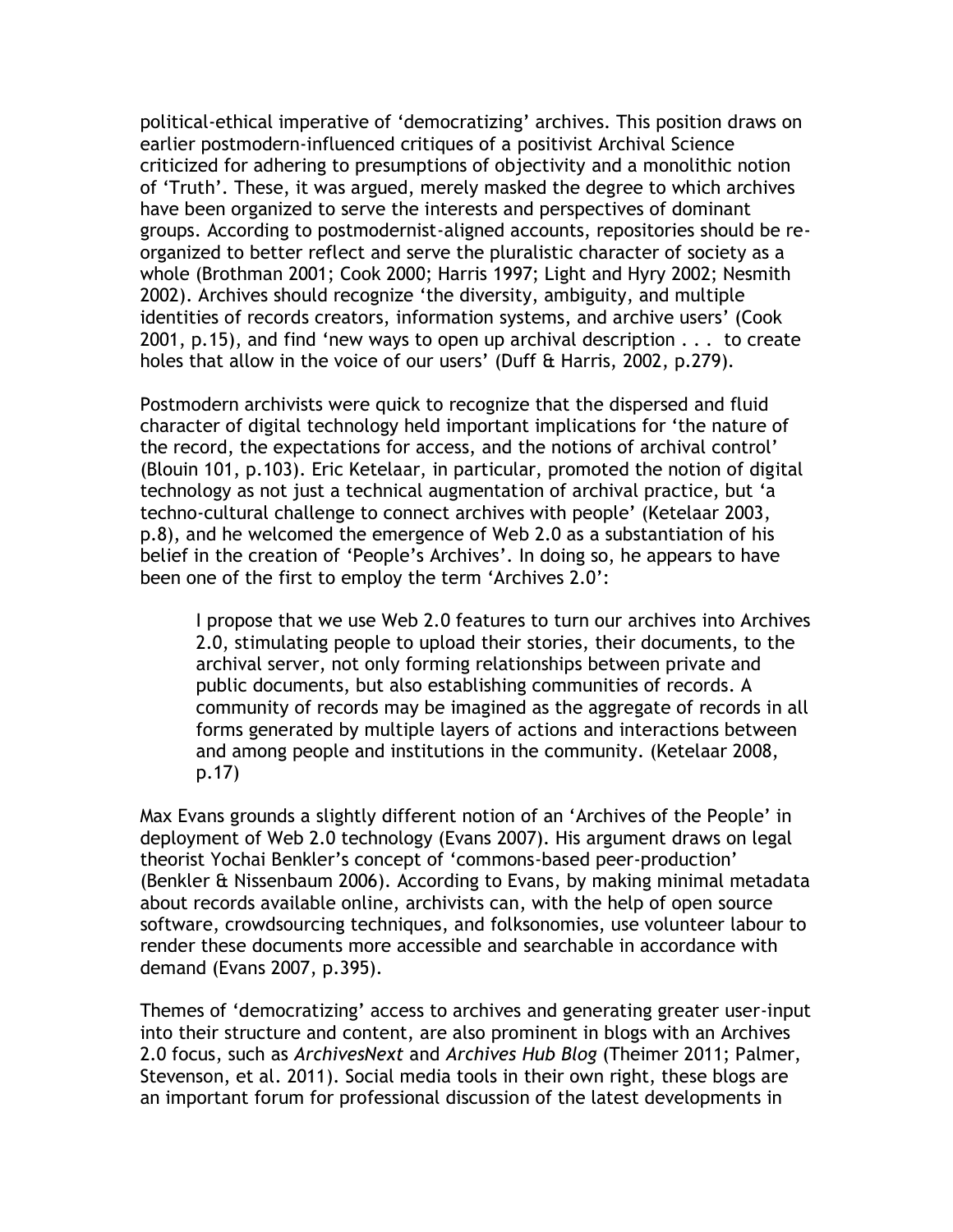political-ethical imperative of 'democratizing' archives. This position draws on earlier postmodern-influenced critiques of a positivist Archival Science criticized for adhering to presumptions of objectivity and a monolithic notion of ‗Truth'. These, it was argued, merely masked the degree to which archives have been organized to serve the interests and perspectives of dominant groups. According to postmodernist-aligned accounts, repositories should be reorganized to better reflect and serve the pluralistic character of society as a whole (Brothman 2001; Cook 2000; Harris 1997; Light and Hyry 2002; Nesmith 2002). Archives should recognize 'the diversity, ambiguity, and multiple identities of records creators, information systems, and archive users' (Cook  $2001$ , p.15), and find 'new ways to open up archival description  $\ldots$  to create holes that allow in the voice of our users' (Duff & Harris, 2002, p.279).

Postmodern archivists were quick to recognize that the dispersed and fluid character of digital technology held important implications for 'the nature of the record, the expectations for access, and the notions of archival control' (Blouin 101, p.103). Eric Ketelaar, in particular, promoted the notion of digital technology as not just a technical augmentation of archival practice, but ‗a techno-cultural challenge to connect archives with people' (Ketelaar 2003, p.8), and he welcomed the emergence of Web 2.0 as a substantiation of his belief in the creation of 'People's Archives'. In doing so, he appears to have been one of the first to employ the term 'Archives 2.0':

I propose that we use Web 2.0 features to turn our archives into Archives 2.0, stimulating people to upload their stories, their documents, to the archival server, not only forming relationships between private and public documents, but also establishing communities of records. A community of records may be imagined as the aggregate of records in all forms generated by multiple layers of actions and interactions between and among people and institutions in the community. (Ketelaar 2008, p.17)

Max Evans grounds a slightly different notion of an ‗Archives of the People' in deployment of Web 2.0 technology (Evans 2007). His argument draws on legal theorist Yochai Benkler's concept of ‗commons-based peer-production' (Benkler & Nissenbaum 2006). According to Evans, by making minimal metadata about records available online, archivists can, with the help of open source software, crowdsourcing techniques, and folksonomies, use volunteer labour to render these documents more accessible and searchable in accordance with demand (Evans 2007, p.395).

Themes of 'democratizing' access to archives and generating greater user-input into their structure and content, are also prominent in blogs with an Archives 2.0 focus, such as *ArchivesNext* and *Archives Hub Blog* (Theimer 2011; Palmer, Stevenson, et al. 2011). Social media tools in their own right, these blogs are an important forum for professional discussion of the latest developments in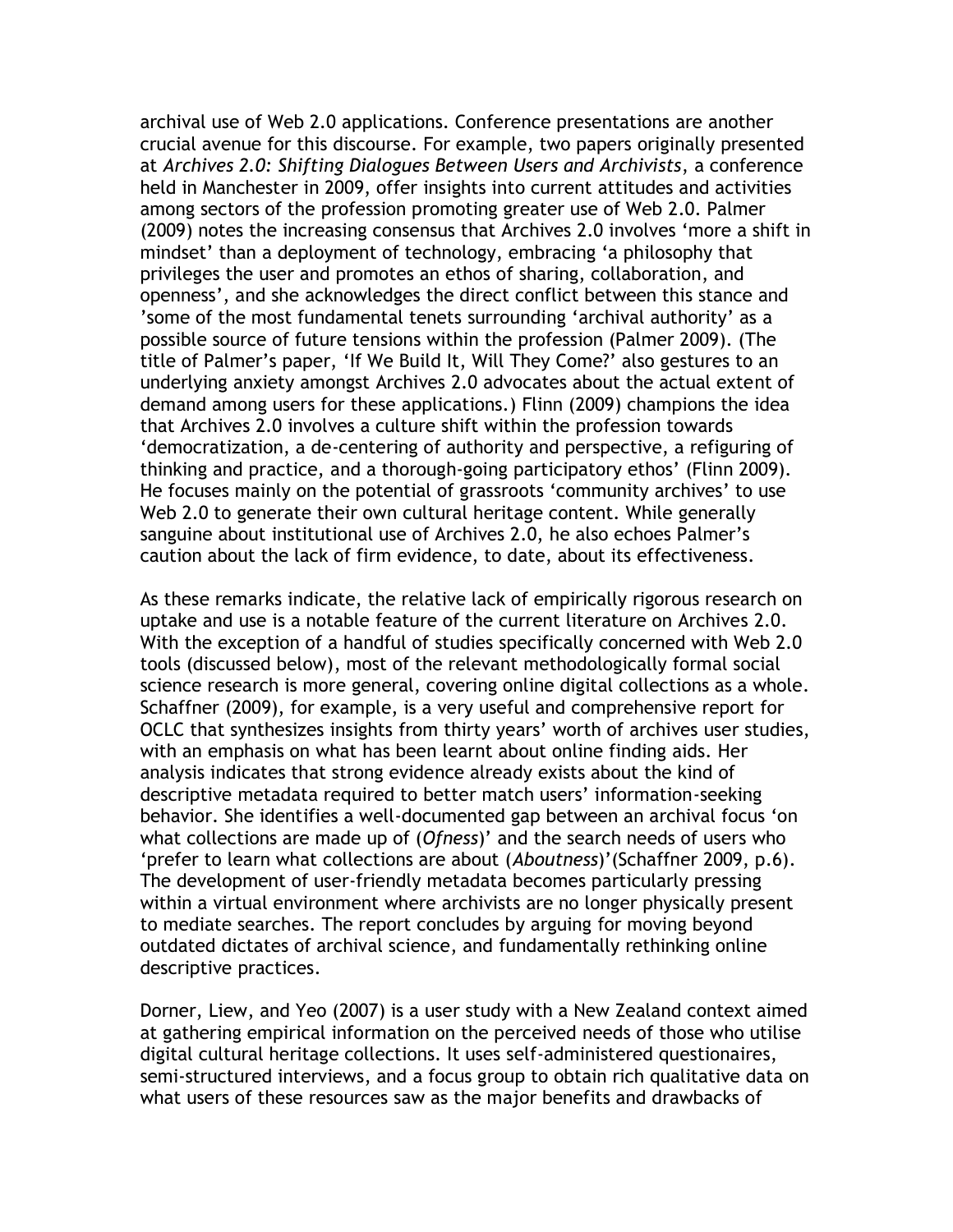archival use of Web 2.0 applications. Conference presentations are another crucial avenue for this discourse. For example, two papers originally presented at *Archives 2.0: Shifting Dialogues Between Users and Archivists*, a conference held in Manchester in 2009, offer insights into current attitudes and activities among sectors of the profession promoting greater use of Web 2.0. Palmer (2009) notes the increasing consensus that Archives 2.0 involves 'more a shift in mindset' than a deployment of technology, embracing 'a philosophy that privileges the user and promotes an ethos of sharing, collaboration, and openness', and she acknowledges the direct conflict between this stance and 'some of the most fundamental tenets surrounding 'archival authority' as a possible source of future tensions within the profession (Palmer 2009). (The title of Palmer's paper, 'If We Build It, Will They Come?' also gestures to an underlying anxiety amongst Archives 2.0 advocates about the actual extent of demand among users for these applications.) Flinn (2009) champions the idea that Archives 2.0 involves a culture shift within the profession towards ‗democratization, a de-centering of authority and perspective, a refiguring of thinking and practice, and a thorough-going participatory ethos' (Flinn 2009). He focuses mainly on the potential of grassroots 'community archives' to use Web 2.0 to generate their own cultural heritage content. While generally sanguine about institutional use of Archives 2.0, he also echoes Palmer's caution about the lack of firm evidence, to date, about its effectiveness.

As these remarks indicate, the relative lack of empirically rigorous research on uptake and use is a notable feature of the current literature on Archives 2.0. With the exception of a handful of studies specifically concerned with Web 2.0 tools (discussed below), most of the relevant methodologically formal social science research is more general, covering online digital collections as a whole. Schaffner (2009), for example, is a very useful and comprehensive report for OCLC that synthesizes insights from thirty years' worth of archives user studies, with an emphasis on what has been learnt about online finding aids. Her analysis indicates that strong evidence already exists about the kind of descriptive metadata required to better match users' information-seeking behavior. She identifies a well-documented gap between an archival focus 'on what collections are made up of (*Ofness*)' and the search needs of users who ‗prefer to learn what collections are about (*Aboutness*)'(Schaffner 2009, p.6). The development of user-friendly metadata becomes particularly pressing within a virtual environment where archivists are no longer physically present to mediate searches. The report concludes by arguing for moving beyond outdated dictates of archival science, and fundamentally rethinking online descriptive practices.

Dorner, Liew, and Yeo (2007) is a user study with a New Zealand context aimed at gathering empirical information on the perceived needs of those who utilise digital cultural heritage collections. It uses self-administered questionaires, semi-structured interviews, and a focus group to obtain rich qualitative data on what users of these resources saw as the major benefits and drawbacks of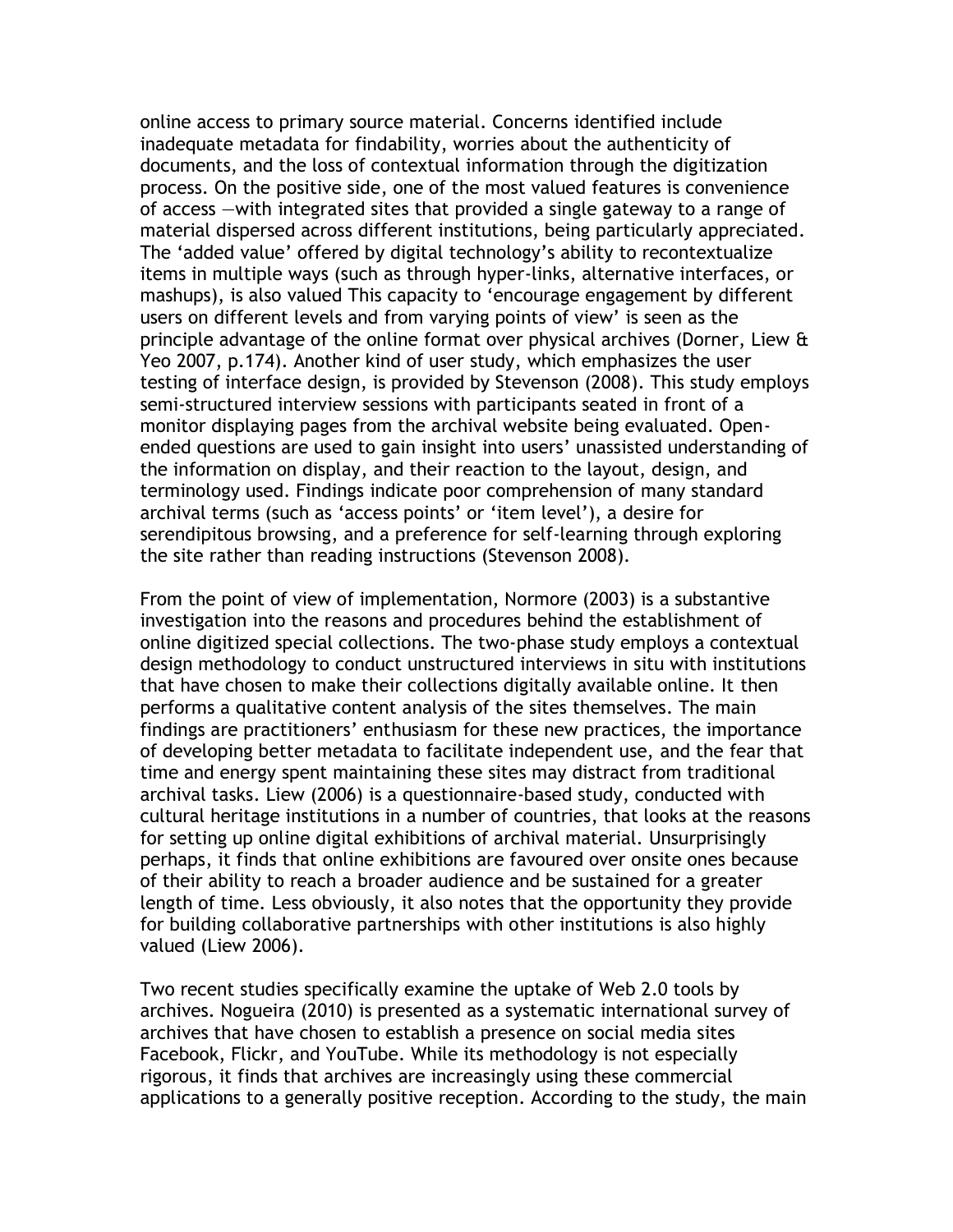online access to primary source material. Concerns identified include inadequate metadata for findability, worries about the authenticity of documents, and the loss of contextual information through the digitization process. On the positive side, one of the most valued features is convenience of access —with integrated sites that provided a single gateway to a range of material dispersed across different institutions, being particularly appreciated. The 'added value' offered by digital technology's ability to recontextualize items in multiple ways (such as through hyper-links, alternative interfaces, or mashups), is also valued This capacity to 'encourage engagement by different users on different levels and from varying points of view' is seen as the principle advantage of the online format over physical archives (Dorner, Liew & Yeo 2007, p.174). Another kind of user study, which emphasizes the user testing of interface design, is provided by Stevenson (2008). This study employs semi-structured interview sessions with participants seated in front of a monitor displaying pages from the archival website being evaluated. Openended questions are used to gain insight into users' unassisted understanding of the information on display, and their reaction to the layout, design, and terminology used. Findings indicate poor comprehension of many standard archival terms (such as 'access points' or 'item level'), a desire for serendipitous browsing, and a preference for self-learning through exploring the site rather than reading instructions (Stevenson 2008).

From the point of view of implementation, Normore (2003) is a substantive investigation into the reasons and procedures behind the establishment of online digitized special collections. The two-phase study employs a contextual design methodology to conduct unstructured interviews in situ with institutions that have chosen to make their collections digitally available online. It then performs a qualitative content analysis of the sites themselves. The main findings are practitioners' enthusiasm for these new practices, the importance of developing better metadata to facilitate independent use, and the fear that time and energy spent maintaining these sites may distract from traditional archival tasks. Liew (2006) is a questionnaire-based study, conducted with cultural heritage institutions in a number of countries, that looks at the reasons for setting up online digital exhibitions of archival material. Unsurprisingly perhaps, it finds that online exhibitions are favoured over onsite ones because of their ability to reach a broader audience and be sustained for a greater length of time. Less obviously, it also notes that the opportunity they provide for building collaborative partnerships with other institutions is also highly valued (Liew 2006).

Two recent studies specifically examine the uptake of Web 2.0 tools by archives. Nogueira (2010) is presented as a systematic international survey of archives that have chosen to establish a presence on social media sites Facebook, Flickr, and YouTube. While its methodology is not especially rigorous, it finds that archives are increasingly using these commercial applications to a generally positive reception. According to the study, the main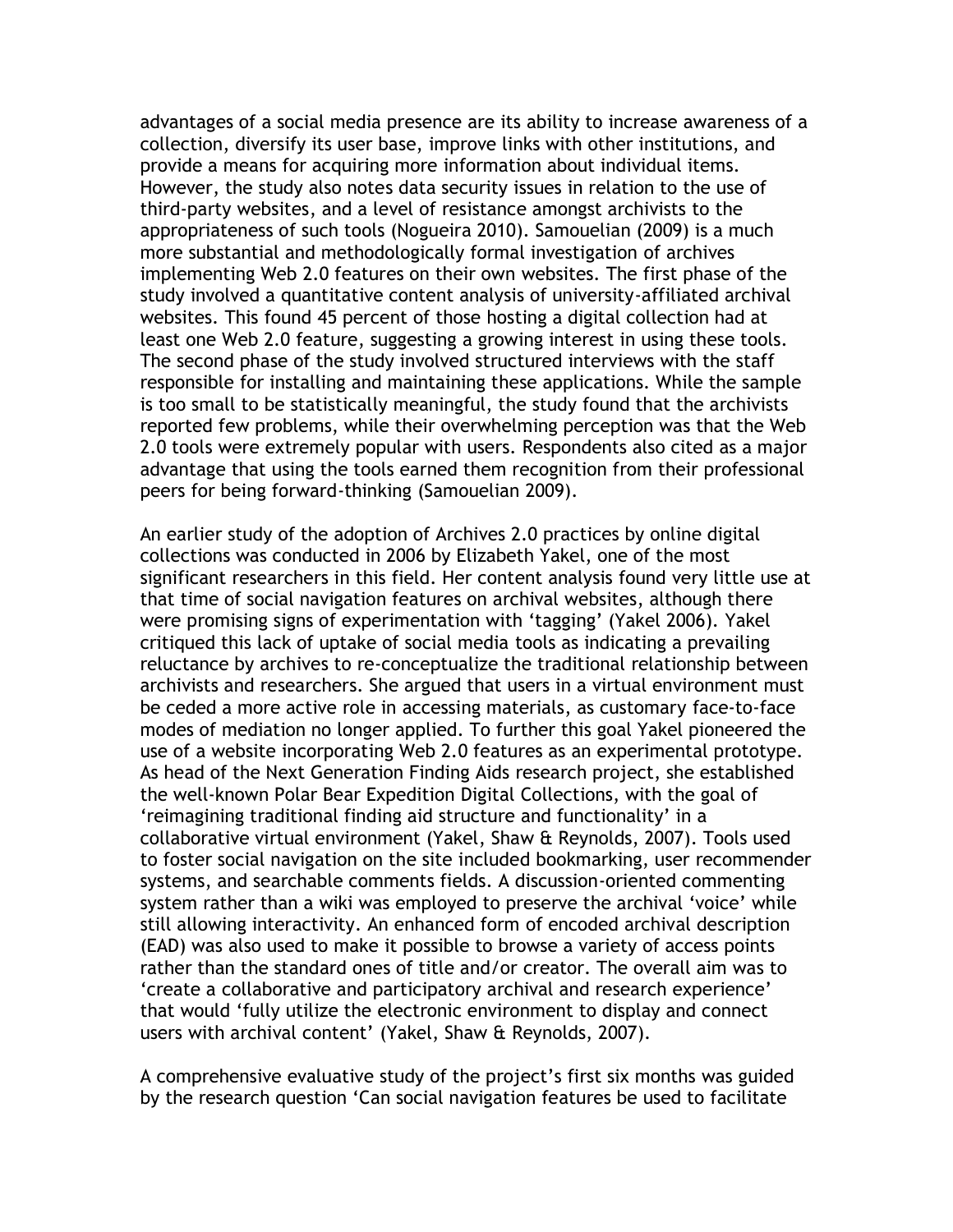advantages of a social media presence are its ability to increase awareness of a collection, diversify its user base, improve links with other institutions, and provide a means for acquiring more information about individual items. However, the study also notes data security issues in relation to the use of third-party websites, and a level of resistance amongst archivists to the appropriateness of such tools (Nogueira 2010). Samouelian (2009) is a much more substantial and methodologically formal investigation of archives implementing Web 2.0 features on their own websites. The first phase of the study involved a quantitative content analysis of university-affiliated archival websites. This found 45 percent of those hosting a digital collection had at least one Web 2.0 feature, suggesting a growing interest in using these tools. The second phase of the study involved structured interviews with the staff responsible for installing and maintaining these applications. While the sample is too small to be statistically meaningful, the study found that the archivists reported few problems, while their overwhelming perception was that the Web 2.0 tools were extremely popular with users. Respondents also cited as a major advantage that using the tools earned them recognition from their professional peers for being forward-thinking (Samouelian 2009).

An earlier study of the adoption of Archives 2.0 practices by online digital collections was conducted in 2006 by Elizabeth Yakel, one of the most significant researchers in this field. Her content analysis found very little use at that time of social navigation features on archival websites, although there were promising signs of experimentation with 'tagging' (Yakel 2006). Yakel critiqued this lack of uptake of social media tools as indicating a prevailing reluctance by archives to re-conceptualize the traditional relationship between archivists and researchers. She argued that users in a virtual environment must be ceded a more active role in accessing materials, as customary face-to-face modes of mediation no longer applied. To further this goal Yakel pioneered the use of a website incorporating Web 2.0 features as an experimental prototype. As head of the Next Generation Finding Aids research project, she established the well-known Polar Bear Expedition Digital Collections, with the goal of ‗reimagining traditional finding aid structure and functionality' in a collaborative virtual environment (Yakel, Shaw & Reynolds, 2007). Tools used to foster social navigation on the site included bookmarking, user recommender systems, and searchable comments fields. A discussion-oriented commenting system rather than a wiki was employed to preserve the archival ‗voice' while still allowing interactivity. An enhanced form of encoded archival description (EAD) was also used to make it possible to browse a variety of access points rather than the standard ones of title and/or creator. The overall aim was to ‗create a collaborative and participatory archival and research experience' that would ‗fully utilize the electronic environment to display and connect users with archival content' (Yakel, Shaw & Reynolds, 2007).

A comprehensive evaluative study of the project's first six months was guided by the research question 'Can social navigation features be used to facilitate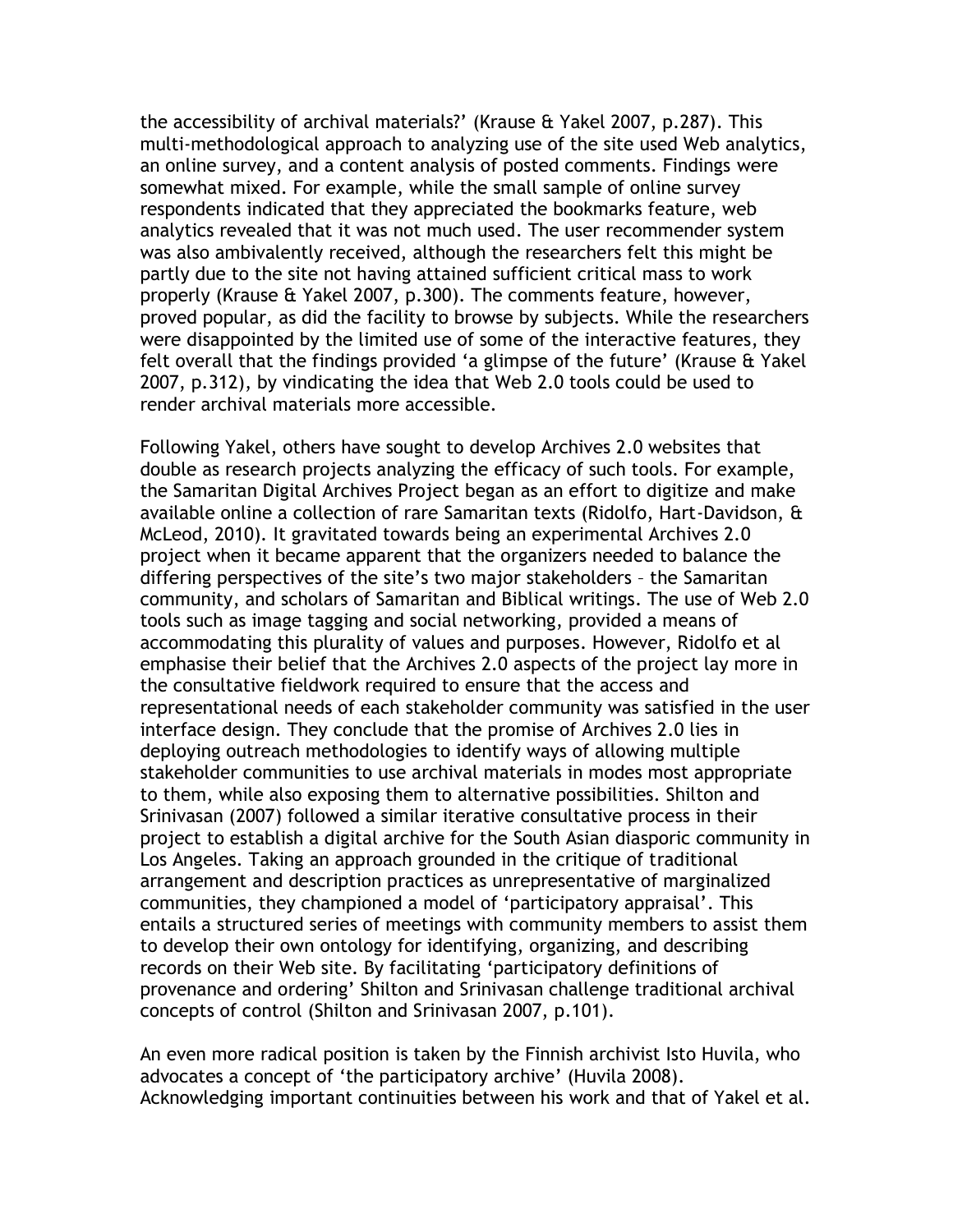the accessibility of archival materials?' (Krause & Yakel 2007, p.287). This multi-methodological approach to analyzing use of the site used Web analytics, an online survey, and a content analysis of posted comments. Findings were somewhat mixed. For example, while the small sample of online survey respondents indicated that they appreciated the bookmarks feature, web analytics revealed that it was not much used. The user recommender system was also ambivalently received, although the researchers felt this might be partly due to the site not having attained sufficient critical mass to work properly (Krause & Yakel 2007, p.300). The comments feature, however, proved popular, as did the facility to browse by subjects. While the researchers were disappointed by the limited use of some of the interactive features, they felt overall that the findings provided 'a glimpse of the future' (Krause & Yakel 2007, p.312), by vindicating the idea that Web 2.0 tools could be used to render archival materials more accessible.

Following Yakel, others have sought to develop Archives 2.0 websites that double as research projects analyzing the efficacy of such tools. For example, the Samaritan Digital Archives Project began as an effort to digitize and make available online a collection of rare Samaritan texts (Ridolfo, Hart-Davidson, & McLeod, 2010). It gravitated towards being an experimental Archives 2.0 project when it became apparent that the organizers needed to balance the differing perspectives of the site's two major stakeholders – the Samaritan community, and scholars of Samaritan and Biblical writings. The use of Web 2.0 tools such as image tagging and social networking, provided a means of accommodating this plurality of values and purposes. However, Ridolfo et al emphasise their belief that the Archives 2.0 aspects of the project lay more in the consultative fieldwork required to ensure that the access and representational needs of each stakeholder community was satisfied in the user interface design. They conclude that the promise of Archives 2.0 lies in deploying outreach methodologies to identify ways of allowing multiple stakeholder communities to use archival materials in modes most appropriate to them, while also exposing them to alternative possibilities. Shilton and Srinivasan (2007) followed a similar iterative consultative process in their project to establish a digital archive for the South Asian diasporic community in Los Angeles. Taking an approach grounded in the critique of traditional arrangement and description practices as unrepresentative of marginalized communities, they championed a model of 'participatory appraisal'. This entails a structured series of meetings with community members to assist them to develop their own ontology for identifying, organizing, and describing records on their Web site. By facilitating 'participatory definitions of provenance and ordering' Shilton and Srinivasan challenge traditional archival concepts of control (Shilton and Srinivasan 2007, p.101).

An even more radical position is taken by the Finnish archivist Isto Huvila, who advocates a concept of 'the participatory archive' (Huvila 2008). Acknowledging important continuities between his work and that of Yakel et al.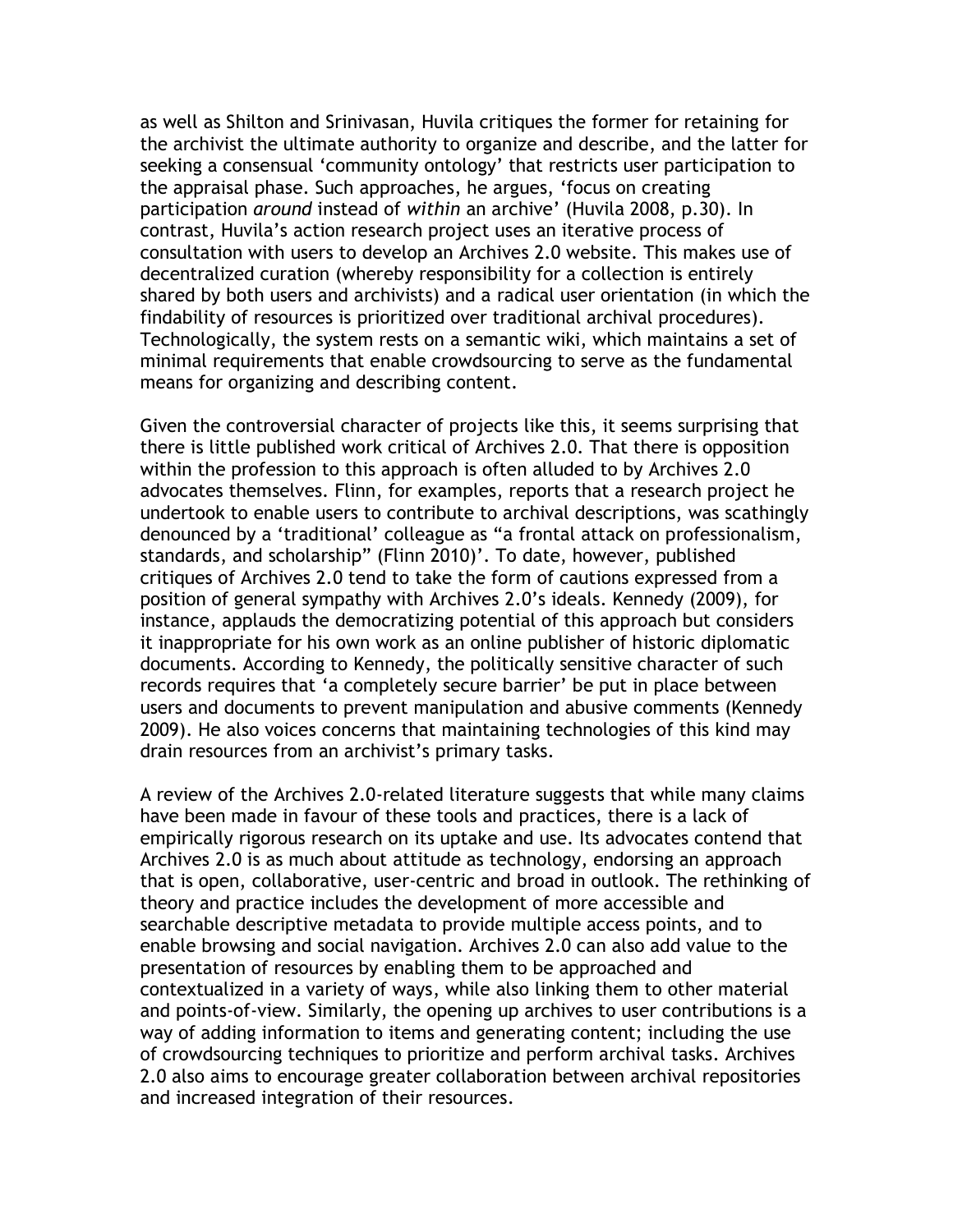as well as Shilton and Srinivasan, Huvila critiques the former for retaining for the archivist the ultimate authority to organize and describe, and the latter for seeking a consensual 'community ontology' that restricts user participation to the appraisal phase. Such approaches, he argues, 'focus on creating participation *around* instead of *within* an archive' (Huvila 2008, p.30). In contrast, Huvila's action research project uses an iterative process of consultation with users to develop an Archives 2.0 website. This makes use of decentralized curation (whereby responsibility for a collection is entirely shared by both users and archivists) and a radical user orientation (in which the findability of resources is prioritized over traditional archival procedures). Technologically, the system rests on a semantic wiki, which maintains a set of minimal requirements that enable crowdsourcing to serve as the fundamental means for organizing and describing content.

Given the controversial character of projects like this, it seems surprising that there is little published work critical of Archives 2.0. That there is opposition within the profession to this approach is often alluded to by Archives 2.0 advocates themselves. Flinn, for examples, reports that a research project he undertook to enable users to contribute to archival descriptions, was scathingly denounced by a 'traditional' colleague as "a frontal attack on professionalism, standards, and scholarship" (Flinn 2010)'. To date, however, published critiques of Archives 2.0 tend to take the form of cautions expressed from a position of general sympathy with Archives 2.0's ideals. Kennedy (2009), for instance, applauds the democratizing potential of this approach but considers it inappropriate for his own work as an online publisher of historic diplomatic documents. According to Kennedy, the politically sensitive character of such records requires that ‗a completely secure barrier' be put in place between users and documents to prevent manipulation and abusive comments (Kennedy 2009). He also voices concerns that maintaining technologies of this kind may drain resources from an archivist's primary tasks.

A review of the Archives 2.0-related literature suggests that while many claims have been made in favour of these tools and practices, there is a lack of empirically rigorous research on its uptake and use. Its advocates contend that Archives 2.0 is as much about attitude as technology, endorsing an approach that is open, collaborative, user-centric and broad in outlook. The rethinking of theory and practice includes the development of more accessible and searchable descriptive metadata to provide multiple access points, and to enable browsing and social navigation. Archives 2.0 can also add value to the presentation of resources by enabling them to be approached and contextualized in a variety of ways, while also linking them to other material and points-of-view. Similarly, the opening up archives to user contributions is a way of adding information to items and generating content; including the use of crowdsourcing techniques to prioritize and perform archival tasks. Archives 2.0 also aims to encourage greater collaboration between archival repositories and increased integration of their resources.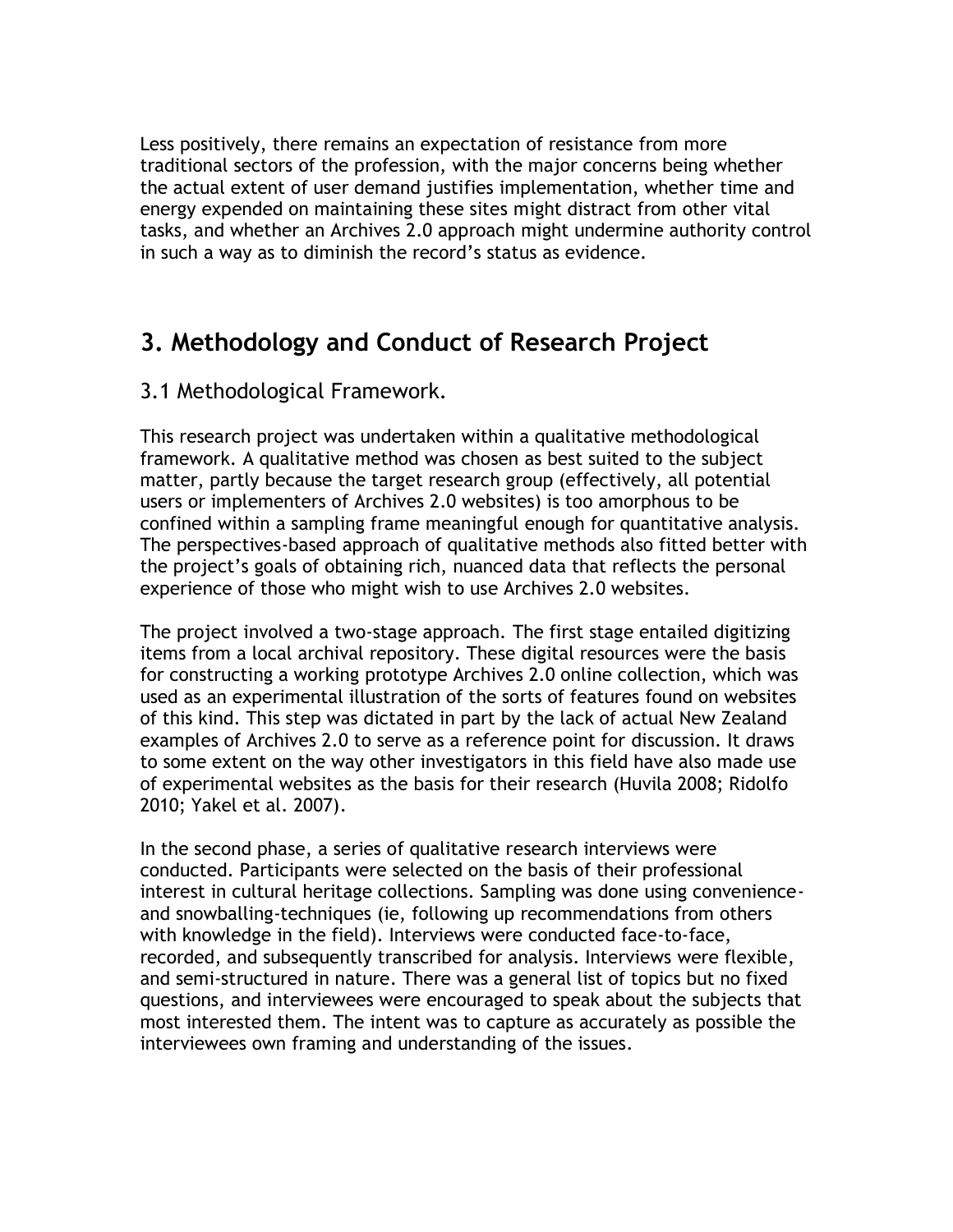Less positively, there remains an expectation of resistance from more traditional sectors of the profession, with the major concerns being whether the actual extent of user demand justifies implementation, whether time and energy expended on maintaining these sites might distract from other vital tasks, and whether an Archives 2.0 approach might undermine authority control in such a way as to diminish the record's status as evidence.

## **3. Methodology and Conduct of Research Project**

### 3.1 Methodological Framework.

This research project was undertaken within a qualitative methodological framework. A qualitative method was chosen as best suited to the subject matter, partly because the target research group (effectively, all potential users or implementers of Archives 2.0 websites) is too amorphous to be confined within a sampling frame meaningful enough for quantitative analysis. The perspectives-based approach of qualitative methods also fitted better with the project's goals of obtaining rich, nuanced data that reflects the personal experience of those who might wish to use Archives 2.0 websites.

The project involved a two-stage approach. The first stage entailed digitizing items from a local archival repository. These digital resources were the basis for constructing a working prototype Archives 2.0 online collection, which was used as an experimental illustration of the sorts of features found on websites of this kind. This step was dictated in part by the lack of actual New Zealand examples of Archives 2.0 to serve as a reference point for discussion. It draws to some extent on the way other investigators in this field have also made use of experimental websites as the basis for their research (Huvila 2008; Ridolfo 2010; Yakel et al. 2007).

In the second phase, a series of qualitative research interviews were conducted. Participants were selected on the basis of their professional interest in cultural heritage collections. Sampling was done using convenienceand snowballing-techniques (ie, following up recommendations from others with knowledge in the field). Interviews were conducted face-to-face, recorded, and subsequently transcribed for analysis. Interviews were flexible, and semi-structured in nature. There was a general list of topics but no fixed questions, and interviewees were encouraged to speak about the subjects that most interested them. The intent was to capture as accurately as possible the interviewees own framing and understanding of the issues.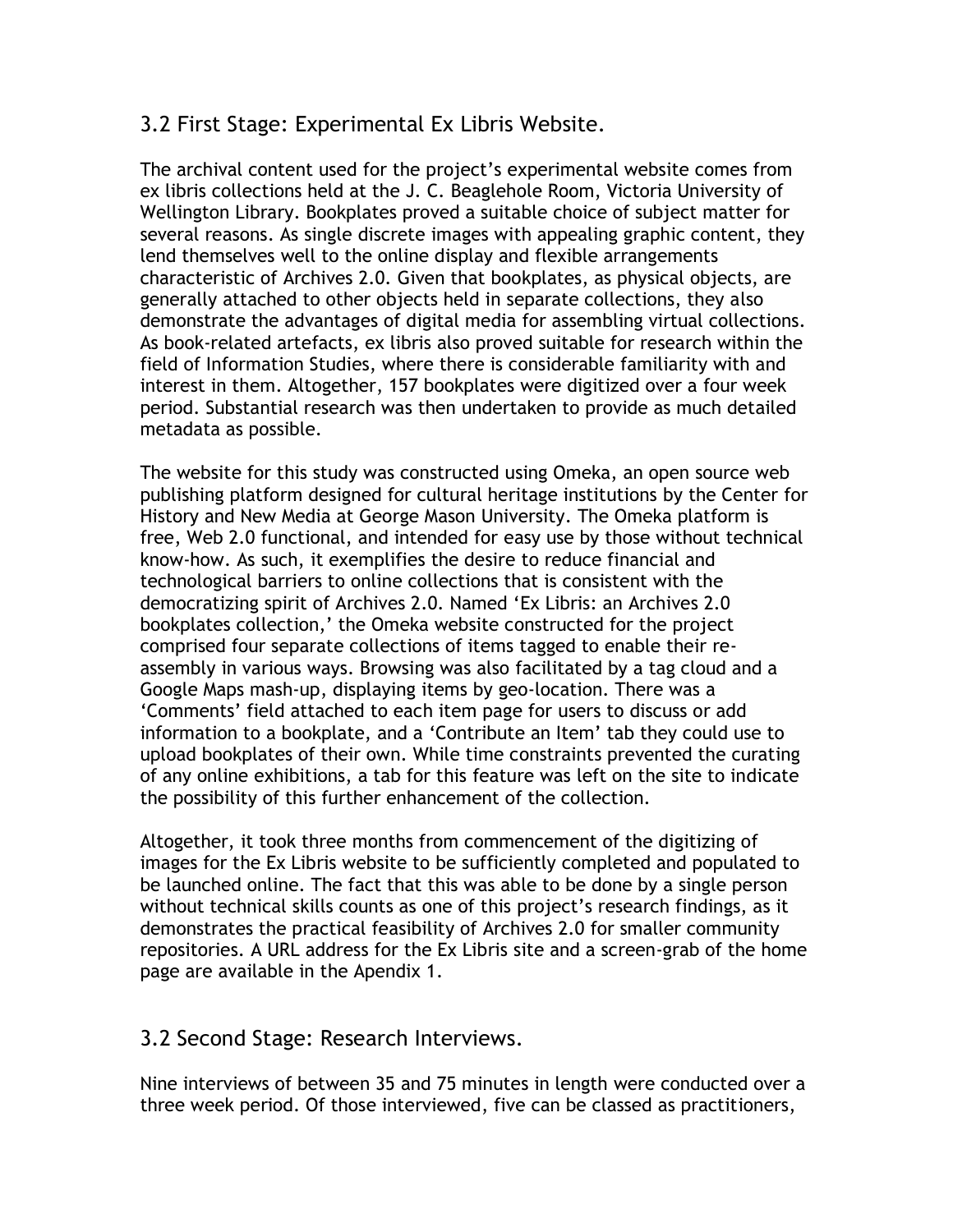### 3.2 First Stage: Experimental Ex Libris Website.

The archival content used for the project's experimental website comes from ex libris collections held at the J. C. Beaglehole Room, Victoria University of Wellington Library. Bookplates proved a suitable choice of subject matter for several reasons. As single discrete images with appealing graphic content, they lend themselves well to the online display and flexible arrangements characteristic of Archives 2.0. Given that bookplates, as physical objects, are generally attached to other objects held in separate collections, they also demonstrate the advantages of digital media for assembling virtual collections. As book-related artefacts, ex libris also proved suitable for research within the field of Information Studies, where there is considerable familiarity with and interest in them. Altogether, 157 bookplates were digitized over a four week period. Substantial research was then undertaken to provide as much detailed metadata as possible.

The website for this study was constructed using Omeka, an open source web publishing platform designed for cultural heritage institutions by the Center for History and New Media at George Mason University. The Omeka platform is free, Web 2.0 functional, and intended for easy use by those without technical know-how. As such, it exemplifies the desire to reduce financial and technological barriers to online collections that is consistent with the democratizing spirit of Archives 2.0. Named 'Ex Libris: an Archives 2.0 bookplates collection,' the Omeka website constructed for the project comprised four separate collections of items tagged to enable their reassembly in various ways. Browsing was also facilitated by a tag cloud and a Google Maps mash-up, displaying items by geo-location. There was a ‗Comments' field attached to each item page for users to discuss or add information to a bookplate, and a ‗Contribute an Item' tab they could use to upload bookplates of their own. While time constraints prevented the curating of any online exhibitions, a tab for this feature was left on the site to indicate the possibility of this further enhancement of the collection.

Altogether, it took three months from commencement of the digitizing of images for the Ex Libris website to be sufficiently completed and populated to be launched online. The fact that this was able to be done by a single person without technical skills counts as one of this project's research findings, as it demonstrates the practical feasibility of Archives 2.0 for smaller community repositories. A URL address for the Ex Libris site and a screen-grab of the home page are available in the Apendix 1.

### 3.2 Second Stage: Research Interviews.

Nine interviews of between 35 and 75 minutes in length were conducted over a three week period. Of those interviewed, five can be classed as practitioners,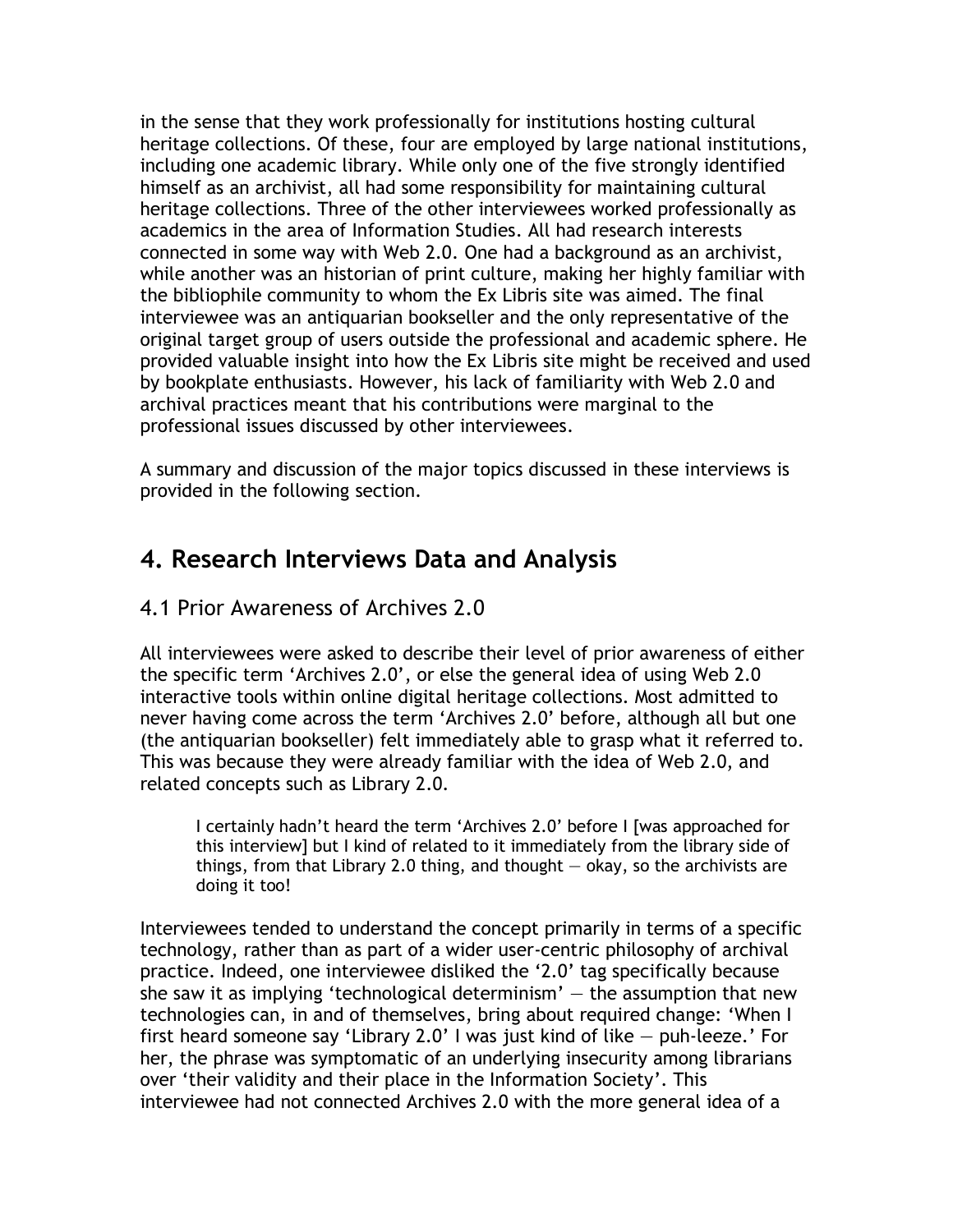in the sense that they work professionally for institutions hosting cultural heritage collections. Of these, four are employed by large national institutions, including one academic library. While only one of the five strongly identified himself as an archivist, all had some responsibility for maintaining cultural heritage collections. Three of the other interviewees worked professionally as academics in the area of Information Studies. All had research interests connected in some way with Web 2.0. One had a background as an archivist, while another was an historian of print culture, making her highly familiar with the bibliophile community to whom the Ex Libris site was aimed. The final interviewee was an antiquarian bookseller and the only representative of the original target group of users outside the professional and academic sphere. He provided valuable insight into how the Ex Libris site might be received and used by bookplate enthusiasts. However, his lack of familiarity with Web 2.0 and archival practices meant that his contributions were marginal to the professional issues discussed by other interviewees.

A summary and discussion of the major topics discussed in these interviews is provided in the following section.

## **4. Research Interviews Data and Analysis**

### 4.1 Prior Awareness of Archives 2.0

All interviewees were asked to describe their level of prior awareness of either the specific term 'Archives 2.0', or else the general idea of using Web 2.0 interactive tools within online digital heritage collections. Most admitted to never having come across the term 'Archives 2.0' before, although all but one (the antiquarian bookseller) felt immediately able to grasp what it referred to. This was because they were already familiar with the idea of Web 2.0, and related concepts such as Library 2.0.

I certainly hadn't heard the term 'Archives 2.0' before I [was approached for this interview] but I kind of related to it immediately from the library side of things, from that Library 2.0 thing, and thought  $-$  okay, so the archivists are doing it too!

Interviewees tended to understand the concept primarily in terms of a specific technology, rather than as part of a wider user-centric philosophy of archival practice. Indeed, one interviewee disliked the '2.0' tag specifically because she saw it as implying 'technological determinism'  $-$  the assumption that new technologies can, in and of themselves, bring about required change: ‗When I first heard someone say 'Library 2.0' I was just kind of like  $-$  puh-leeze.' For her, the phrase was symptomatic of an underlying insecurity among librarians over 'their validity and their place in the Information Society'. This interviewee had not connected Archives 2.0 with the more general idea of a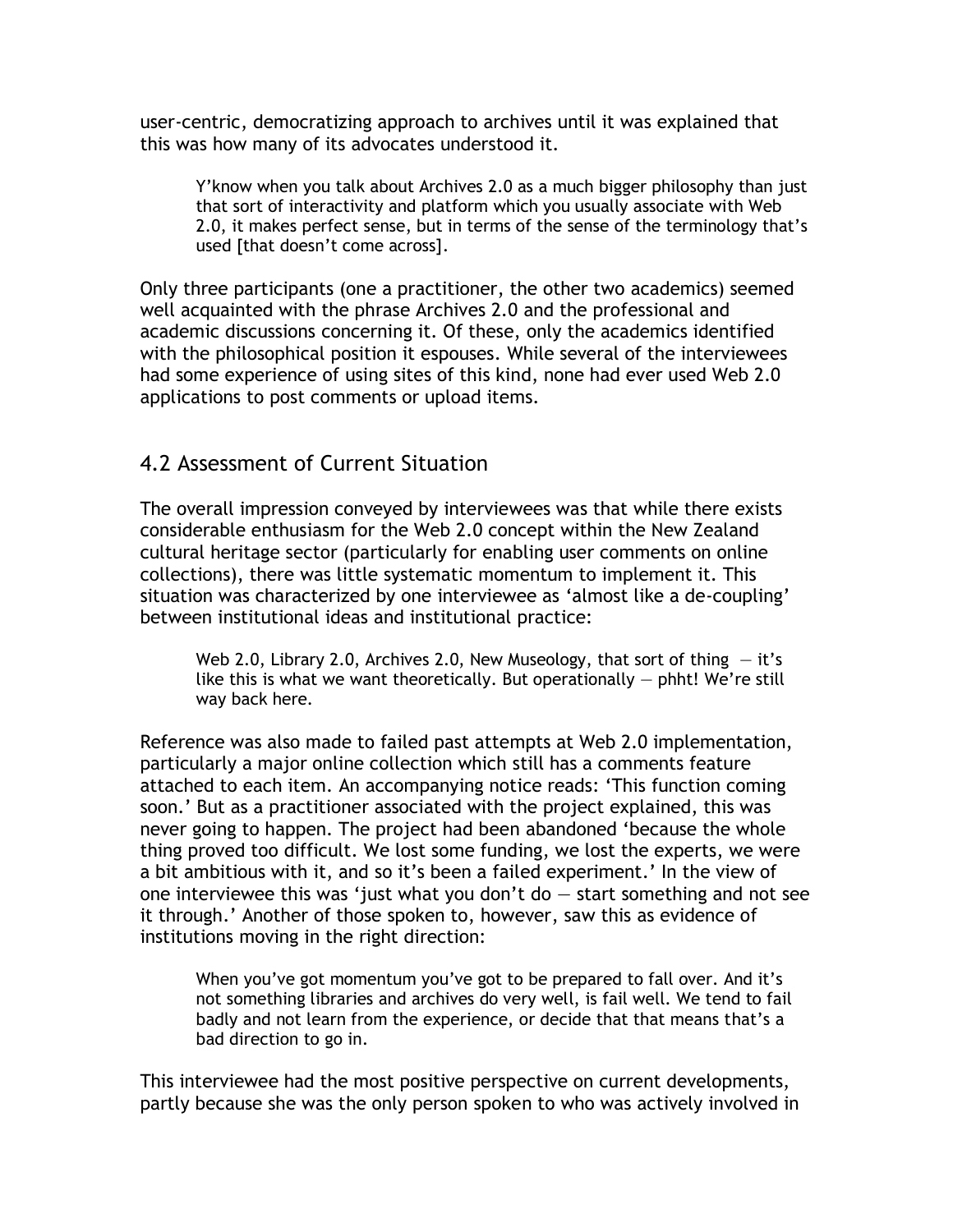user-centric, democratizing approach to archives until it was explained that this was how many of its advocates understood it.

Y'know when you talk about Archives 2.0 as a much bigger philosophy than just that sort of interactivity and platform which you usually associate with Web 2.0, it makes perfect sense, but in terms of the sense of the terminology that's used [that doesn't come across].

Only three participants (one a practitioner, the other two academics) seemed well acquainted with the phrase Archives 2.0 and the professional and academic discussions concerning it. Of these, only the academics identified with the philosophical position it espouses. While several of the interviewees had some experience of using sites of this kind, none had ever used Web 2.0 applications to post comments or upload items.

### 4.2 Assessment of Current Situation

The overall impression conveyed by interviewees was that while there exists considerable enthusiasm for the Web 2.0 concept within the New Zealand cultural heritage sector (particularly for enabling user comments on online collections), there was little systematic momentum to implement it. This situation was characterized by one interviewee as 'almost like a de-coupling' between institutional ideas and institutional practice:

Web 2.0, Library 2.0, Archives 2.0, New Museology, that sort of thing  $-$  it's like this is what we want theoretically. But operationally — phht! We're still way back here.

Reference was also made to failed past attempts at Web 2.0 implementation, particularly a major online collection which still has a comments feature attached to each item. An accompanying notice reads: ‗This function coming soon.' But as a practitioner associated with the project explained, this was never going to happen. The project had been abandoned 'because the whole thing proved too difficult. We lost some funding, we lost the experts, we were a bit ambitious with it, and so it's been a failed experiment.' In the view of one interviewee this was 'just what you don't do  $-$  start something and not see it through.' Another of those spoken to, however, saw this as evidence of institutions moving in the right direction:

When you've got momentum you've got to be prepared to fall over. And it's not something libraries and archives do very well, is fail well. We tend to fail badly and not learn from the experience, or decide that that means that's a bad direction to go in.

This interviewee had the most positive perspective on current developments, partly because she was the only person spoken to who was actively involved in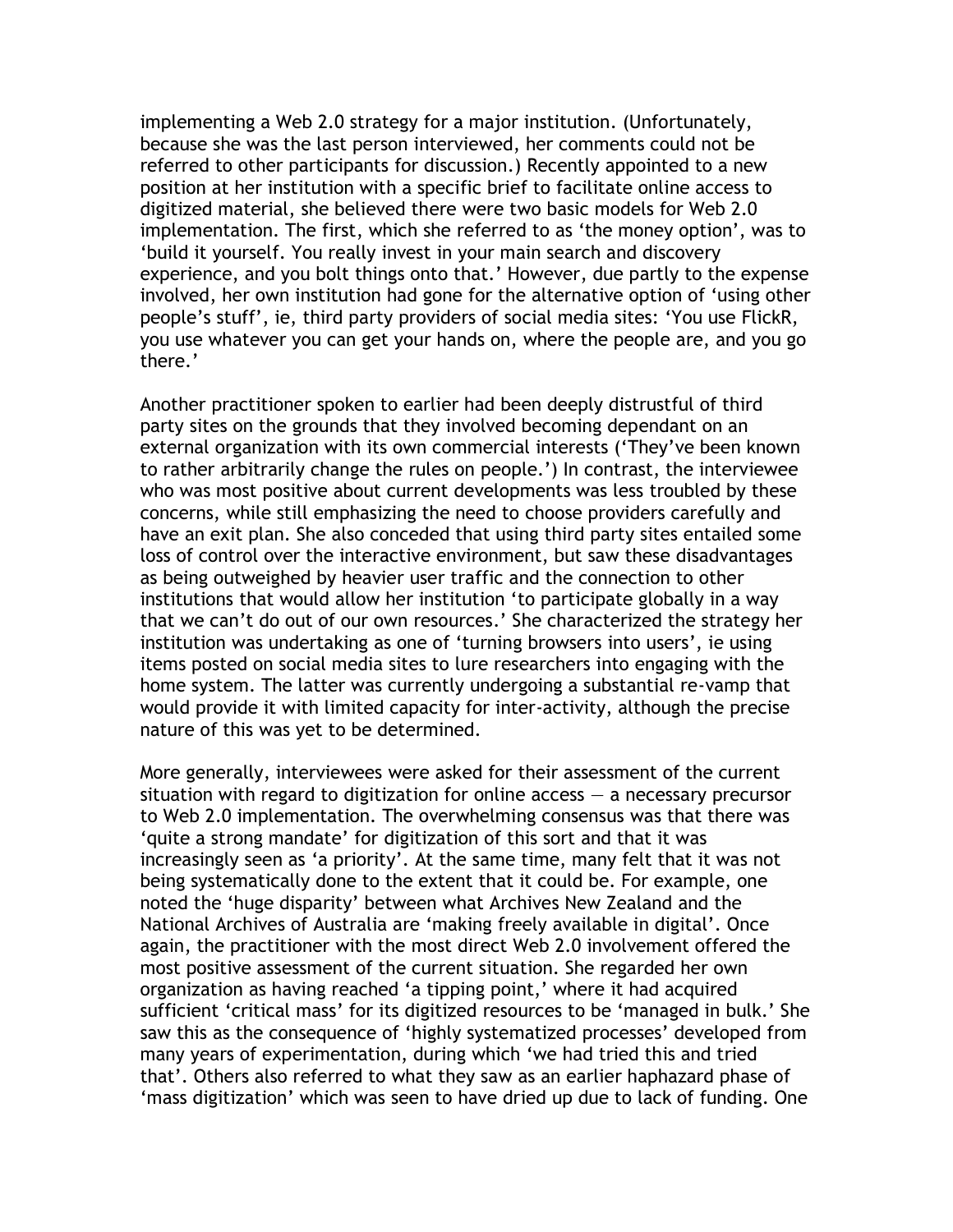implementing a Web 2.0 strategy for a major institution. (Unfortunately, because she was the last person interviewed, her comments could not be referred to other participants for discussion.) Recently appointed to a new position at her institution with a specific brief to facilitate online access to digitized material, she believed there were two basic models for Web 2.0 implementation. The first, which she referred to as 'the money option', was to ‗build it yourself. You really invest in your main search and discovery experience, and you bolt things onto that.' However, due partly to the expense involved, her own institution had gone for the alternative option of 'using other people's stuff', ie, third party providers of social media sites: ‗You use FlickR, you use whatever you can get your hands on, where the people are, and you go there.'

Another practitioner spoken to earlier had been deeply distrustful of third party sites on the grounds that they involved becoming dependant on an external organization with its own commercial interests ('They've been known to rather arbitrarily change the rules on people.') In contrast, the interviewee who was most positive about current developments was less troubled by these concerns, while still emphasizing the need to choose providers carefully and have an exit plan. She also conceded that using third party sites entailed some loss of control over the interactive environment, but saw these disadvantages as being outweighed by heavier user traffic and the connection to other institutions that would allow her institution 'to participate globally in a way that we can't do out of our own resources.' She characterized the strategy her institution was undertaking as one of 'turning browsers into users', ie using items posted on social media sites to lure researchers into engaging with the home system. The latter was currently undergoing a substantial re-vamp that would provide it with limited capacity for inter-activity, although the precise nature of this was yet to be determined.

More generally, interviewees were asked for their assessment of the current situation with regard to digitization for online access  $-$  a necessary precursor to Web 2.0 implementation. The overwhelming consensus was that there was ‗quite a strong mandate' for digitization of this sort and that it was increasingly seen as 'a priority'. At the same time, many felt that it was not being systematically done to the extent that it could be. For example, one noted the 'huge disparity' between what Archives New Zealand and the National Archives of Australia are 'making freely available in digital'. Once again, the practitioner with the most direct Web 2.0 involvement offered the most positive assessment of the current situation. She regarded her own organization as having reached 'a tipping point,' where it had acquired sufficient 'critical mass' for its digitized resources to be 'managed in bulk.' She saw this as the consequence of 'highly systematized processes' developed from many years of experimentation, during which 'we had tried this and tried that'. Others also referred to what they saw as an earlier haphazard phase of ‗mass digitization' which was seen to have dried up due to lack of funding. One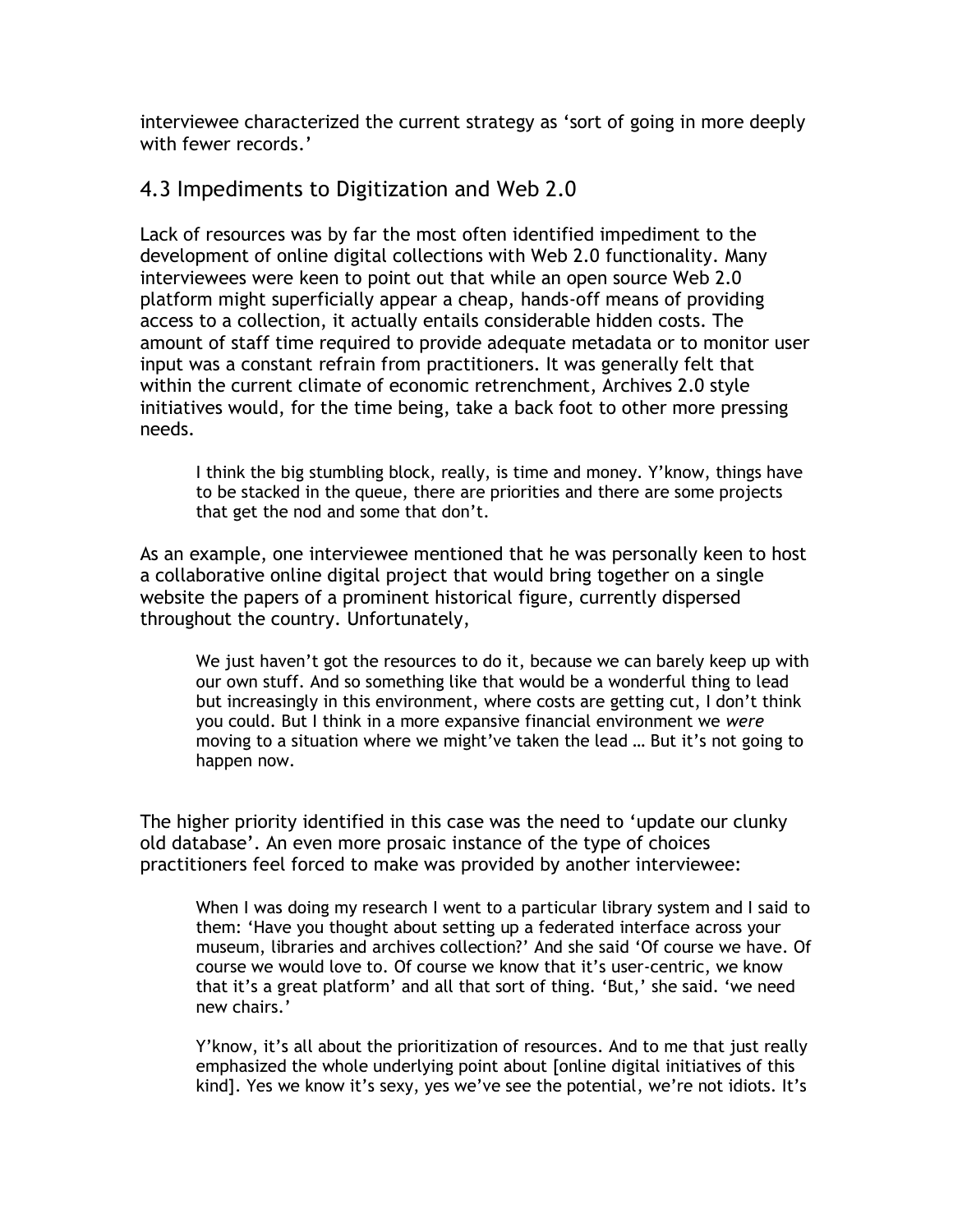interviewee characterized the current strategy as 'sort of going in more deeply with fewer records.'

### 4.3 Impediments to Digitization and Web 2.0

Lack of resources was by far the most often identified impediment to the development of online digital collections with Web 2.0 functionality. Many interviewees were keen to point out that while an open source Web 2.0 platform might superficially appear a cheap, hands-off means of providing access to a collection, it actually entails considerable hidden costs. The amount of staff time required to provide adequate metadata or to monitor user input was a constant refrain from practitioners. It was generally felt that within the current climate of economic retrenchment, Archives 2.0 style initiatives would, for the time being, take a back foot to other more pressing needs.

I think the big stumbling block, really, is time and money. Y'know, things have to be stacked in the queue, there are priorities and there are some projects that get the nod and some that don't.

As an example, one interviewee mentioned that he was personally keen to host a collaborative online digital project that would bring together on a single website the papers of a prominent historical figure, currently dispersed throughout the country. Unfortunately,

We just haven't got the resources to do it, because we can barely keep up with our own stuff. And so something like that would be a wonderful thing to lead but increasingly in this environment, where costs are getting cut, I don't think you could. But I think in a more expansive financial environment we *were* moving to a situation where we might've taken the lead … But it's not going to happen now.

The higher priority identified in this case was the need to 'update our clunky old database'. An even more prosaic instance of the type of choices practitioners feel forced to make was provided by another interviewee:

When I was doing my research I went to a particular library system and I said to them: ‗Have you thought about setting up a federated interface across your museum, libraries and archives collection?' And she said ‗Of course we have. Of course we would love to. Of course we know that it's user-centric, we know that it's a great platform' and all that sort of thing. 'But,' she said. 'we need new chairs.'

Y'know, it's all about the prioritization of resources. And to me that just really emphasized the whole underlying point about [online digital initiatives of this kind]. Yes we know it's sexy, yes we've see the potential, we're not idiots. It's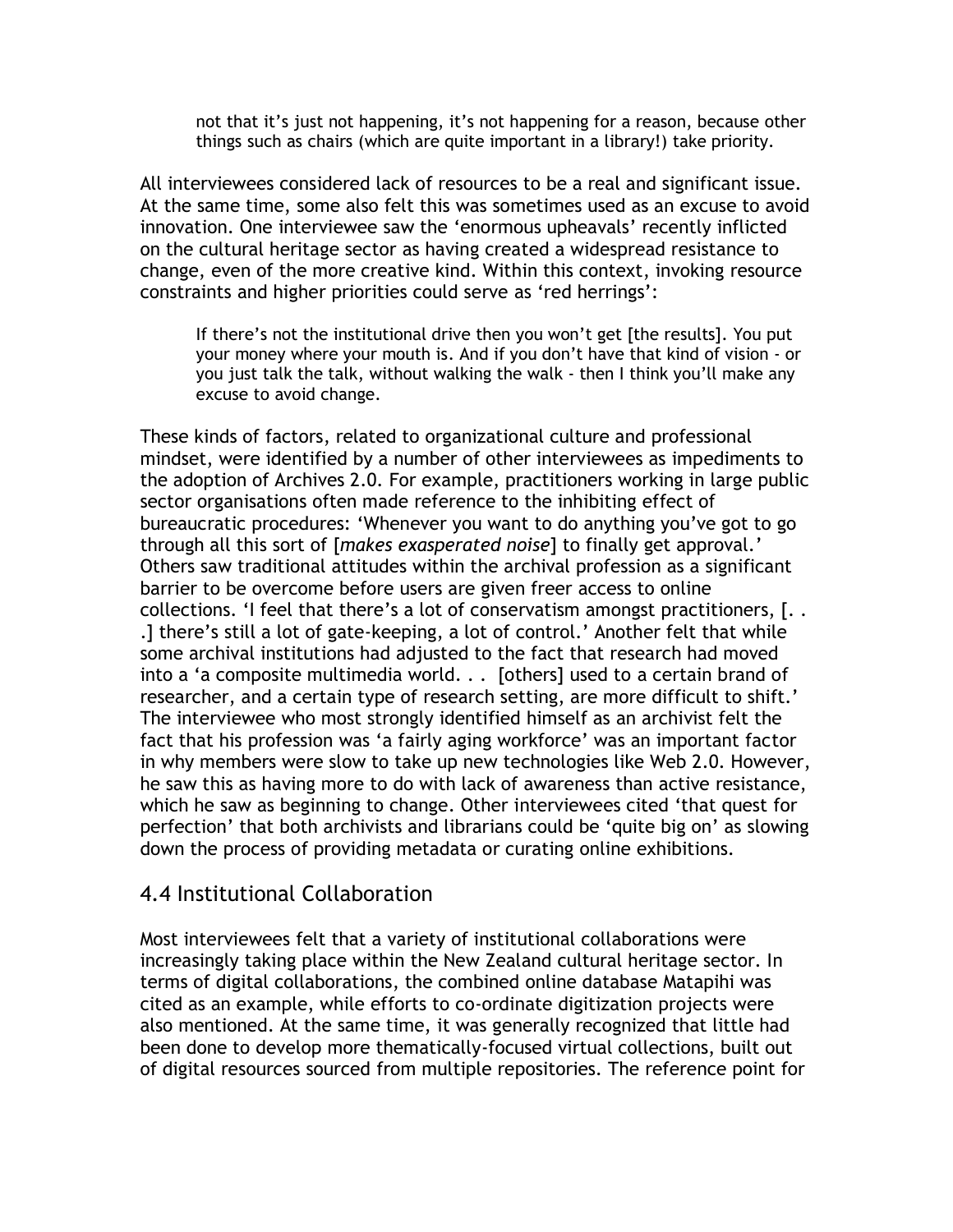not that it's just not happening, it's not happening for a reason, because other things such as chairs (which are quite important in a library!) take priority.

All interviewees considered lack of resources to be a real and significant issue. At the same time, some also felt this was sometimes used as an excuse to avoid innovation. One interviewee saw the 'enormous upheavals' recently inflicted on the cultural heritage sector as having created a widespread resistance to change, even of the more creative kind. Within this context, invoking resource constraints and higher priorities could serve as 'red herrings':

If there's not the institutional drive then you won't get [the results]. You put your money where your mouth is. And if you don't have that kind of vision - or you just talk the talk, without walking the walk - then I think you'll make any excuse to avoid change.

These kinds of factors, related to organizational culture and professional mindset, were identified by a number of other interviewees as impediments to the adoption of Archives 2.0. For example, practitioners working in large public sector organisations often made reference to the inhibiting effect of bureaucratic procedures: ‗Whenever you want to do anything you've got to go through all this sort of [*makes exasperated noise*] to finally get approval.' Others saw traditional attitudes within the archival profession as a significant barrier to be overcome before users are given freer access to online collections. 'I feel that there's a lot of conservatism amongst practitioners,  $[i, j]$ . .] there's still a lot of gate-keeping, a lot of control.' Another felt that while some archival institutions had adjusted to the fact that research had moved into a 'a composite multimedia world.  $\ldots$  [others] used to a certain brand of researcher, and a certain type of research setting, are more difficult to shift.' The interviewee who most strongly identified himself as an archivist felt the fact that his profession was 'a fairly aging workforce' was an important factor in why members were slow to take up new technologies like Web 2.0. However, he saw this as having more to do with lack of awareness than active resistance, which he saw as beginning to change. Other interviewees cited 'that quest for perfection' that both archivists and librarians could be 'quite big on' as slowing down the process of providing metadata or curating online exhibitions.

### 4.4 Institutional Collaboration

Most interviewees felt that a variety of institutional collaborations were increasingly taking place within the New Zealand cultural heritage sector. In terms of digital collaborations, the combined online database Matapihi was cited as an example, while efforts to co-ordinate digitization projects were also mentioned. At the same time, it was generally recognized that little had been done to develop more thematically-focused virtual collections, built out of digital resources sourced from multiple repositories. The reference point for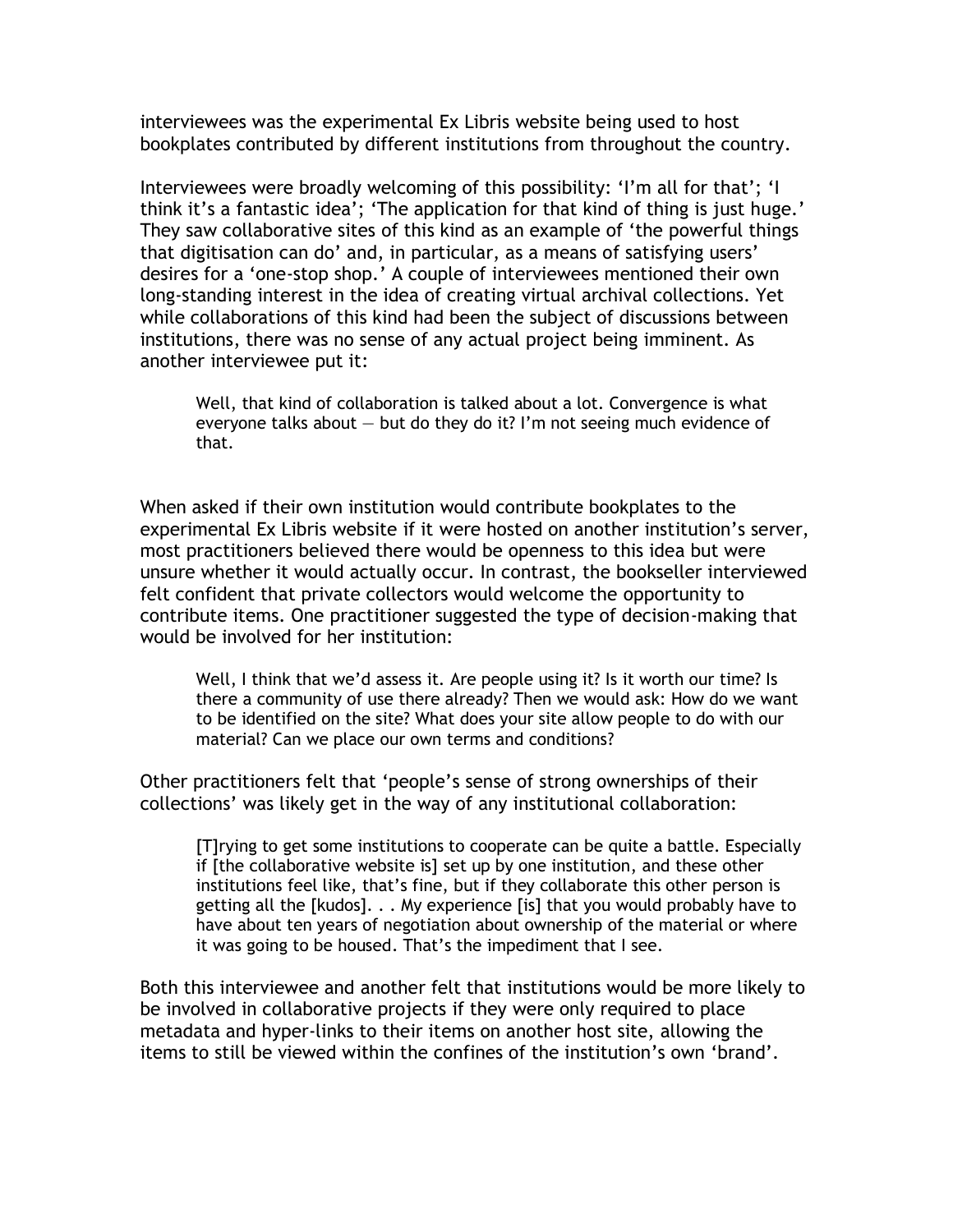interviewees was the experimental Ex Libris website being used to host bookplates contributed by different institutions from throughout the country.

Interviewees were broadly welcoming of this possibility: 'I'm all for that'; 'I think it's a fantastic idea'; 'The application for that kind of thing is just huge.' They saw collaborative sites of this kind as an example of 'the powerful things that digitisation can do' and, in particular, as a means of satisfying users' desires for a 'one-stop shop.' A couple of interviewees mentioned their own long-standing interest in the idea of creating virtual archival collections. Yet while collaborations of this kind had been the subject of discussions between institutions, there was no sense of any actual project being imminent. As another interviewee put it:

Well, that kind of collaboration is talked about a lot. Convergence is what everyone talks about — but do they do it? I'm not seeing much evidence of that.

When asked if their own institution would contribute bookplates to the experimental Ex Libris website if it were hosted on another institution's server, most practitioners believed there would be openness to this idea but were unsure whether it would actually occur. In contrast, the bookseller interviewed felt confident that private collectors would welcome the opportunity to contribute items. One practitioner suggested the type of decision-making that would be involved for her institution:

Well, I think that we'd assess it. Are people using it? Is it worth our time? Is there a community of use there already? Then we would ask: How do we want to be identified on the site? What does your site allow people to do with our material? Can we place our own terms and conditions?

Other practitioners felt that ‗people's sense of strong ownerships of their collections' was likely get in the way of any institutional collaboration:

[T]rying to get some institutions to cooperate can be quite a battle. Especially if [the collaborative website is] set up by one institution, and these other institutions feel like, that's fine, but if they collaborate this other person is getting all the [kudos]. . . My experience [is] that you would probably have to have about ten years of negotiation about ownership of the material or where it was going to be housed. That's the impediment that I see.

Both this interviewee and another felt that institutions would be more likely to be involved in collaborative projects if they were only required to place metadata and hyper-links to their items on another host site, allowing the items to still be viewed within the confines of the institution's own 'brand'.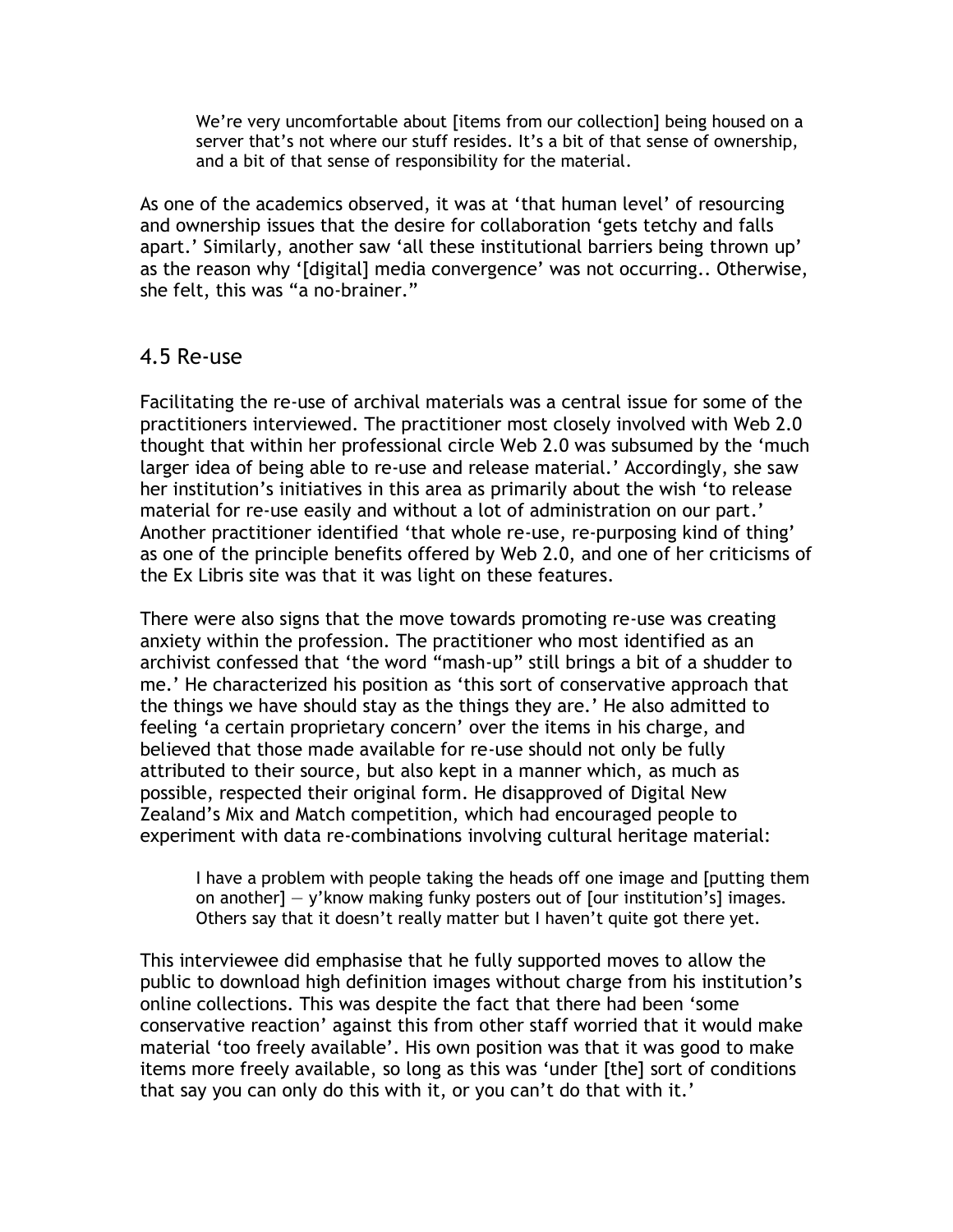We're very uncomfortable about [items from our collection] being housed on a server that's not where our stuff resides. It's a bit of that sense of ownership, and a bit of that sense of responsibility for the material.

As one of the academics observed, it was at 'that human level' of resourcing and ownership issues that the desire for collaboration 'gets tetchy and falls apart.' Similarly, another saw 'all these institutional barriers being thrown up' as the reason why '[digital] media convergence' was not occurring.. Otherwise, she felt, this was "a no-brainer."

### 4.5 Re-use

Facilitating the re-use of archival materials was a central issue for some of the practitioners interviewed. The practitioner most closely involved with Web 2.0 thought that within her professional circle Web 2.0 was subsumed by the 'much larger idea of being able to re-use and release material.' Accordingly, she saw her institution's initiatives in this area as primarily about the wish 'to release material for re-use easily and without a lot of administration on our part.' Another practitioner identified 'that whole re-use, re-purposing kind of thing' as one of the principle benefits offered by Web 2.0, and one of her criticisms of the Ex Libris site was that it was light on these features.

There were also signs that the move towards promoting re-use was creating anxiety within the profession. The practitioner who most identified as an archivist confessed that 'the word "mash-up" still brings a bit of a shudder to me.' He characterized his position as 'this sort of conservative approach that the things we have should stay as the things they are.' He also admitted to feeling ‗a certain proprietary concern' over the items in his charge, and believed that those made available for re-use should not only be fully attributed to their source, but also kept in a manner which, as much as possible, respected their original form. He disapproved of Digital New Zealand's Mix and Match competition, which had encouraged people to experiment with data re-combinations involving cultural heritage material:

I have a problem with people taking the heads off one image and [putting them on another]  $-$  y'know making funky posters out of [our institution's] images. Others say that it doesn't really matter but I haven't quite got there yet.

This interviewee did emphasise that he fully supported moves to allow the public to download high definition images without charge from his institution's online collections. This was despite the fact that there had been 'some conservative reaction' against this from other staff worried that it would make material 'too freely available'. His own position was that it was good to make items more freely available, so long as this was 'under [the] sort of conditions that say you can only do this with it, or you can't do that with it.'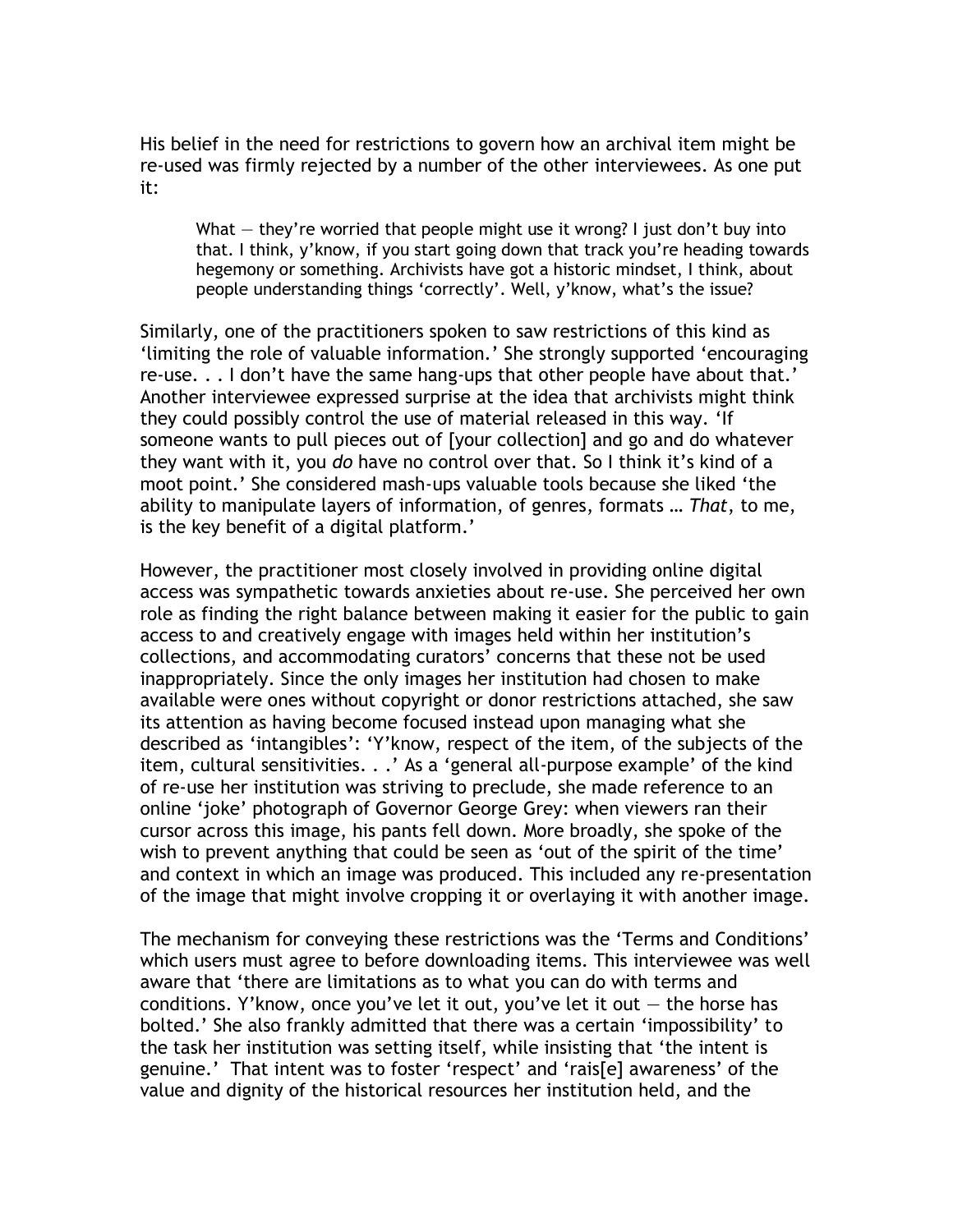His belief in the need for restrictions to govern how an archival item might be re-used was firmly rejected by a number of the other interviewees. As one put it:

What – they're worried that people might use it wrong? I just don't buy into that. I think, y'know, if you start going down that track you're heading towards hegemony or something. Archivists have got a historic mindset, I think, about people understanding things 'correctly'. Well, y'know, what's the issue?

Similarly, one of the practitioners spoken to saw restrictions of this kind as ‗limiting the role of valuable information.' She strongly supported ‗encouraging re-use. . . I don't have the same hang-ups that other people have about that.' Another interviewee expressed surprise at the idea that archivists might think they could possibly control the use of material released in this way. 'If someone wants to pull pieces out of [your collection] and go and do whatever they want with it, you *do* have no control over that. So I think it's kind of a moot point.' She considered mash-ups valuable tools because she liked 'the ability to manipulate layers of information, of genres, formats … *That*, to me, is the key benefit of a digital platform.'

However, the practitioner most closely involved in providing online digital access was sympathetic towards anxieties about re-use. She perceived her own role as finding the right balance between making it easier for the public to gain access to and creatively engage with images held within her institution's collections, and accommodating curators' concerns that these not be used inappropriately. Since the only images her institution had chosen to make available were ones without copyright or donor restrictions attached, she saw its attention as having become focused instead upon managing what she described as 'intangibles': 'Y'know, respect of the item, of the subjects of the item, cultural sensitivities. . .' As a 'general all-purpose example' of the kind of re-use her institution was striving to preclude, she made reference to an online ‗joke' photograph of Governor George Grey: when viewers ran their cursor across this image, his pants fell down. More broadly, she spoke of the wish to prevent anything that could be seen as 'out of the spirit of the time' and context in which an image was produced. This included any re-presentation of the image that might involve cropping it or overlaying it with another image.

The mechanism for conveying these restrictions was the 'Terms and Conditions' which users must agree to before downloading items. This interviewee was well aware that 'there are limitations as to what you can do with terms and conditions. Y' know, once you've let it out, you've let it out  $-$  the horse has bolted.' She also frankly admitted that there was a certain 'impossibility' to the task her institution was setting itself, while insisting that 'the intent is genuine.' That intent was to foster 'respect' and 'rais[e] awareness' of the value and dignity of the historical resources her institution held, and the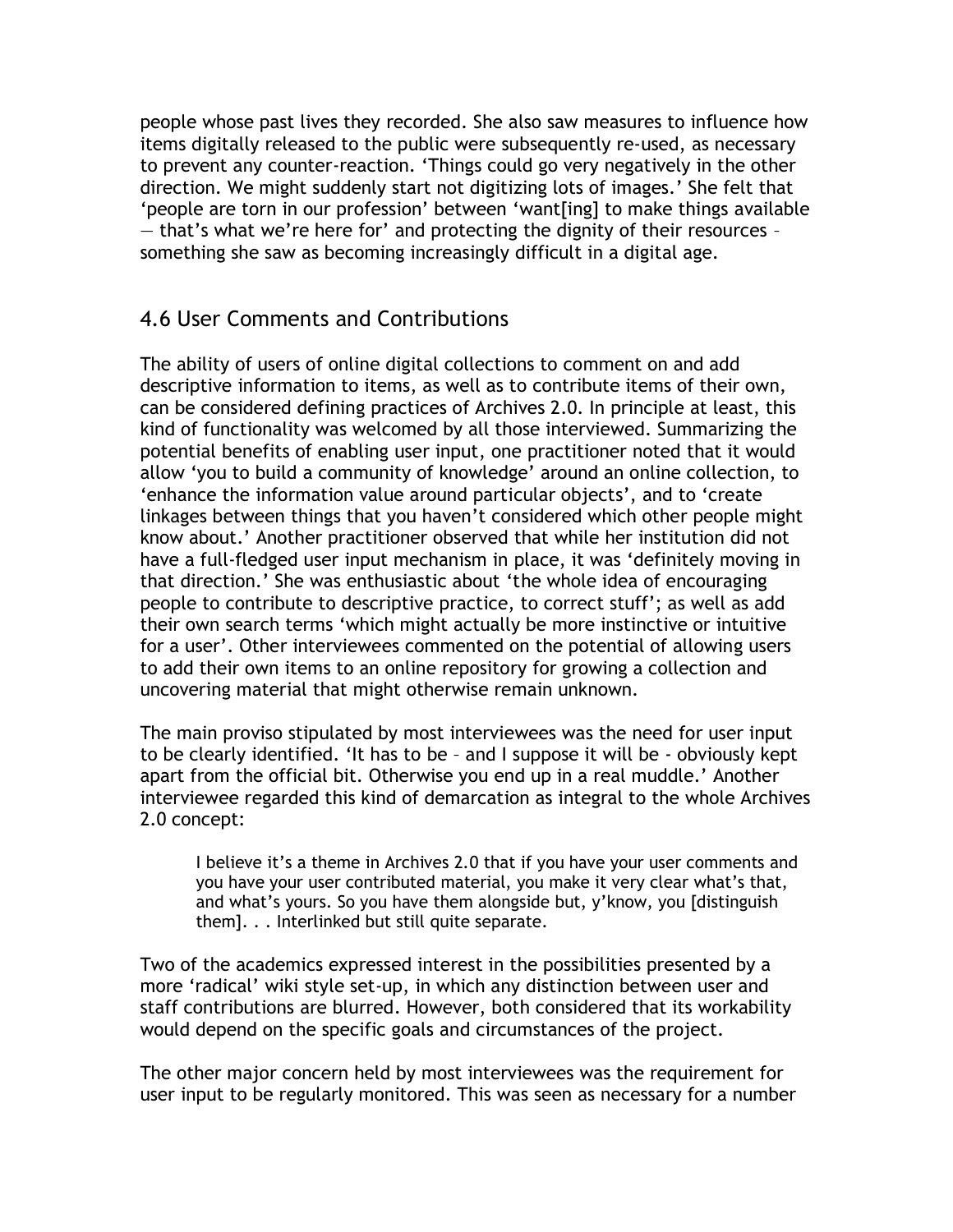people whose past lives they recorded. She also saw measures to influence how items digitally released to the public were subsequently re-used, as necessary to prevent any counter-reaction. 'Things could go very negatively in the other direction. We might suddenly start not digitizing lots of images.' She felt that 'people are torn in our profession' between 'want[ing] to make things available — that's what we're here for' and protecting the dignity of their resources – something she saw as becoming increasingly difficult in a digital age.

### 4.6 User Comments and Contributions

The ability of users of online digital collections to comment on and add descriptive information to items, as well as to contribute items of their own, can be considered defining practices of Archives 2.0. In principle at least, this kind of functionality was welcomed by all those interviewed. Summarizing the potential benefits of enabling user input, one practitioner noted that it would allow ‗you to build a community of knowledge' around an online collection, to ‗enhance the information value around particular objects', and to ‗create linkages between things that you haven't considered which other people might know about.' Another practitioner observed that while her institution did not have a full-fledged user input mechanism in place, it was 'definitely moving in that direction.' She was enthusiastic about 'the whole idea of encouraging people to contribute to descriptive practice, to correct stuff'; as well as add their own search terms 'which might actually be more instinctive or intuitive for a user'. Other interviewees commented on the potential of allowing users to add their own items to an online repository for growing a collection and uncovering material that might otherwise remain unknown.

The main proviso stipulated by most interviewees was the need for user input to be clearly identified. 'It has to be  $-$  and I suppose it will be  $-$  obviously kept apart from the official bit. Otherwise you end up in a real muddle.' Another interviewee regarded this kind of demarcation as integral to the whole Archives 2.0 concept:

I believe it's a theme in Archives 2.0 that if you have your user comments and you have your user contributed material, you make it very clear what's that, and what's yours. So you have them alongside but, y'know, you [distinguish them]. . . Interlinked but still quite separate.

Two of the academics expressed interest in the possibilities presented by a more 'radical' wiki style set-up, in which any distinction between user and staff contributions are blurred. However, both considered that its workability would depend on the specific goals and circumstances of the project.

The other major concern held by most interviewees was the requirement for user input to be regularly monitored. This was seen as necessary for a number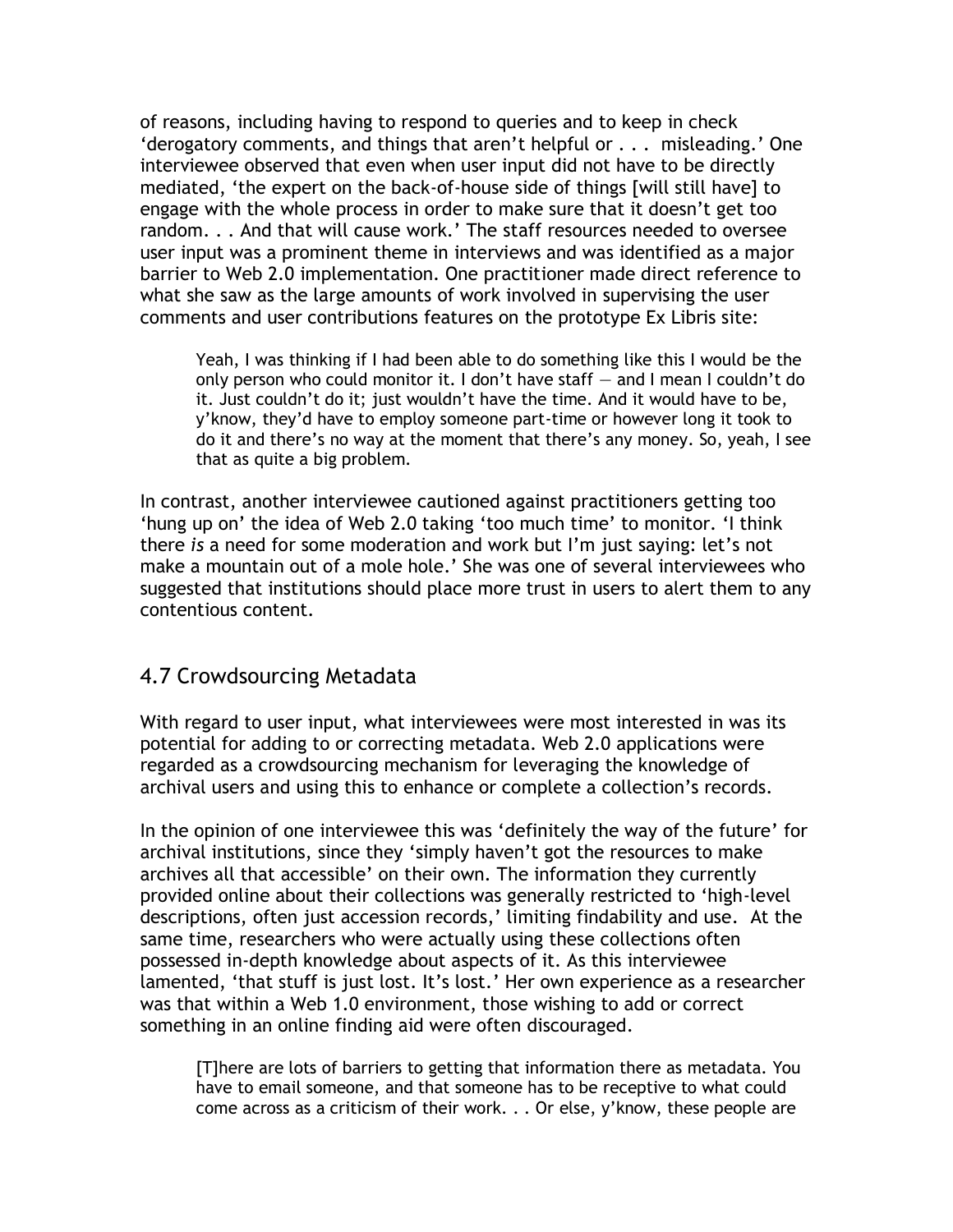of reasons, including having to respond to queries and to keep in check ‗derogatory comments, and things that aren't helpful or . . . misleading.' One interviewee observed that even when user input did not have to be directly mediated, 'the expert on the back-of-house side of things [will still have] to engage with the whole process in order to make sure that it doesn't get too random. . . And that will cause work.' The staff resources needed to oversee user input was a prominent theme in interviews and was identified as a major barrier to Web 2.0 implementation. One practitioner made direct reference to what she saw as the large amounts of work involved in supervising the user comments and user contributions features on the prototype Ex Libris site:

Yeah, I was thinking if I had been able to do something like this I would be the only person who could monitor it. I don't have staff — and I mean I couldn't do it. Just couldn't do it; just wouldn't have the time. And it would have to be, y'know, they'd have to employ someone part-time or however long it took to do it and there's no way at the moment that there's any money. So, yeah, I see that as quite a big problem.

In contrast, another interviewee cautioned against practitioners getting too ‗hung up on' the idea of Web 2.0 taking ‗too much time' to monitor. ‗I think there *is* a need for some moderation and work but I'm just saying: let's not make a mountain out of a mole hole.' She was one of several interviewees who suggested that institutions should place more trust in users to alert them to any contentious content.

### 4.7 Crowdsourcing Metadata

With regard to user input, what interviewees were most interested in was its potential for adding to or correcting metadata. Web 2.0 applications were regarded as a crowdsourcing mechanism for leveraging the knowledge of archival users and using this to enhance or complete a collection's records.

In the opinion of one interviewee this was 'definitely the way of the future' for archival institutions, since they 'simply haven't got the resources to make archives all that accessible' on their own. The information they currently provided online about their collections was generally restricted to 'high-level descriptions, often just accession records,' limiting findability and use. At the same time, researchers who were actually using these collections often possessed in-depth knowledge about aspects of it. As this interviewee lamented, ‗that stuff is just lost. It's lost.' Her own experience as a researcher was that within a Web 1.0 environment, those wishing to add or correct something in an online finding aid were often discouraged.

[T]here are lots of barriers to getting that information there as metadata. You have to email someone, and that someone has to be receptive to what could come across as a criticism of their work. . . Or else, y'know, these people are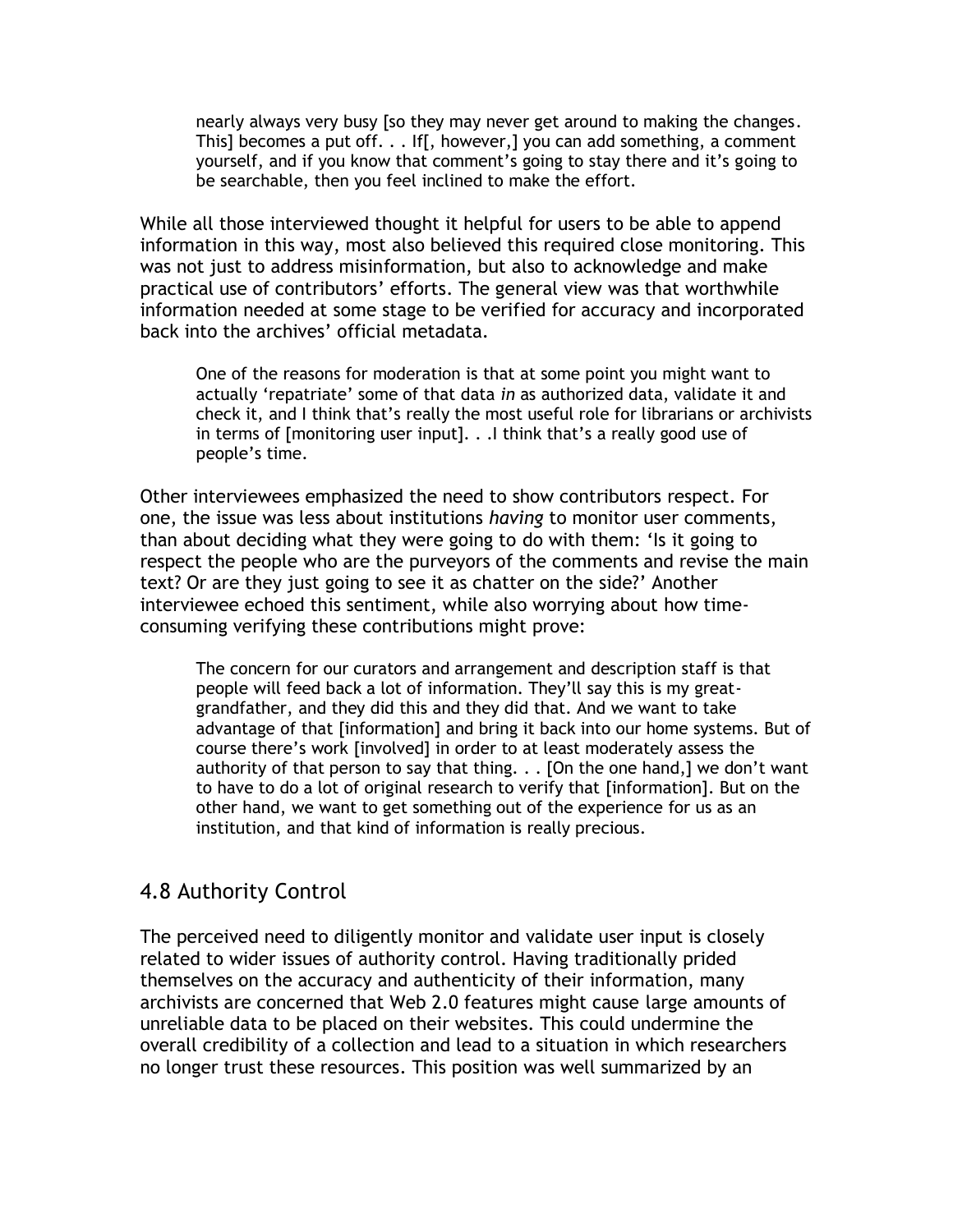nearly always very busy [so they may never get around to making the changes. This] becomes a put off. . . If[, however,] you can add something, a comment yourself, and if you know that comment's going to stay there and it's going to be searchable, then you feel inclined to make the effort.

While all those interviewed thought it helpful for users to be able to append information in this way, most also believed this required close monitoring. This was not just to address misinformation, but also to acknowledge and make practical use of contributors' efforts. The general view was that worthwhile information needed at some stage to be verified for accuracy and incorporated back into the archives' official metadata.

One of the reasons for moderation is that at some point you might want to actually ‗repatriate' some of that data *in* as authorized data, validate it and check it, and I think that's really the most useful role for librarians or archivists in terms of [monitoring user input]. . .I think that's a really good use of people's time.

Other interviewees emphasized the need to show contributors respect. For one, the issue was less about institutions *having* to monitor user comments, than about deciding what they were going to do with them: 'Is it going to respect the people who are the purveyors of the comments and revise the main text? Or are they just going to see it as chatter on the side?' Another interviewee echoed this sentiment, while also worrying about how timeconsuming verifying these contributions might prove:

The concern for our curators and arrangement and description staff is that people will feed back a lot of information. They'll say this is my greatgrandfather, and they did this and they did that. And we want to take advantage of that [information] and bring it back into our home systems. But of course there's work [involved] in order to at least moderately assess the authority of that person to say that thing. . . [On the one hand,] we don't want to have to do a lot of original research to verify that [information]. But on the other hand, we want to get something out of the experience for us as an institution, and that kind of information is really precious.

### 4.8 Authority Control

The perceived need to diligently monitor and validate user input is closely related to wider issues of authority control. Having traditionally prided themselves on the accuracy and authenticity of their information, many archivists are concerned that Web 2.0 features might cause large amounts of unreliable data to be placed on their websites. This could undermine the overall credibility of a collection and lead to a situation in which researchers no longer trust these resources. This position was well summarized by an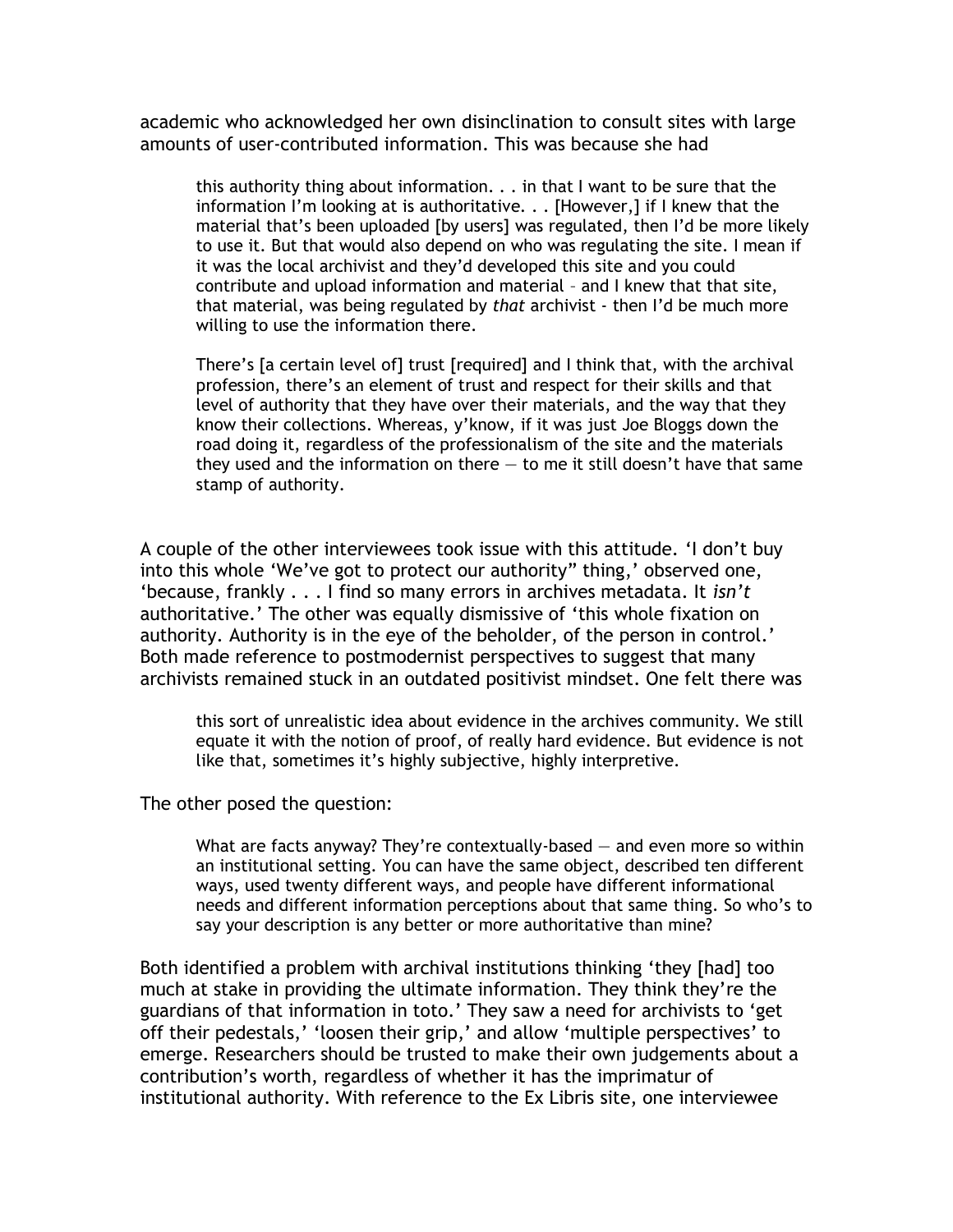academic who acknowledged her own disinclination to consult sites with large amounts of user-contributed information. This was because she had

this authority thing about information. . . in that I want to be sure that the information I'm looking at is authoritative. . . [However,] if I knew that the material that's been uploaded [by users] was regulated, then I'd be more likely to use it. But that would also depend on who was regulating the site. I mean if it was the local archivist and they'd developed this site and you could contribute and upload information and material – and I knew that that site, that material, was being regulated by *that* archivist - then I'd be much more willing to use the information there.

There's [a certain level of] trust [required] and I think that, with the archival profession, there's an element of trust and respect for their skills and that level of authority that they have over their materials, and the way that they know their collections. Whereas, y'know, if it was just Joe Bloggs down the road doing it, regardless of the professionalism of the site and the materials they used and the information on there  $-$  to me it still doesn't have that same stamp of authority.

A couple of the other interviewees took issue with this attitude. 'I don't buy into this whole 'We've got to protect our authority" thing,' observed one, ‗because, frankly . . . I find so many errors in archives metadata. It *isn't* authoritative.' The other was equally dismissive of 'this whole fixation on authority. Authority is in the eye of the beholder, of the person in control.' Both made reference to postmodernist perspectives to suggest that many archivists remained stuck in an outdated positivist mindset. One felt there was

this sort of unrealistic idea about evidence in the archives community. We still equate it with the notion of proof, of really hard evidence. But evidence is not like that, sometimes it's highly subjective, highly interpretive.

The other posed the question:

What are facts anyway? They're contextually-based — and even more so within an institutional setting. You can have the same object, described ten different ways, used twenty different ways, and people have different informational needs and different information perceptions about that same thing. So who's to say your description is any better or more authoritative than mine?

Both identified a problem with archival institutions thinking 'they [had] too much at stake in providing the ultimate information. They think they're the guardians of that information in toto.' They saw a need for archivists to 'get off their pedestals,' 'loosen their grip,' and allow 'multiple perspectives' to emerge. Researchers should be trusted to make their own judgements about a contribution's worth, regardless of whether it has the imprimatur of institutional authority. With reference to the Ex Libris site, one interviewee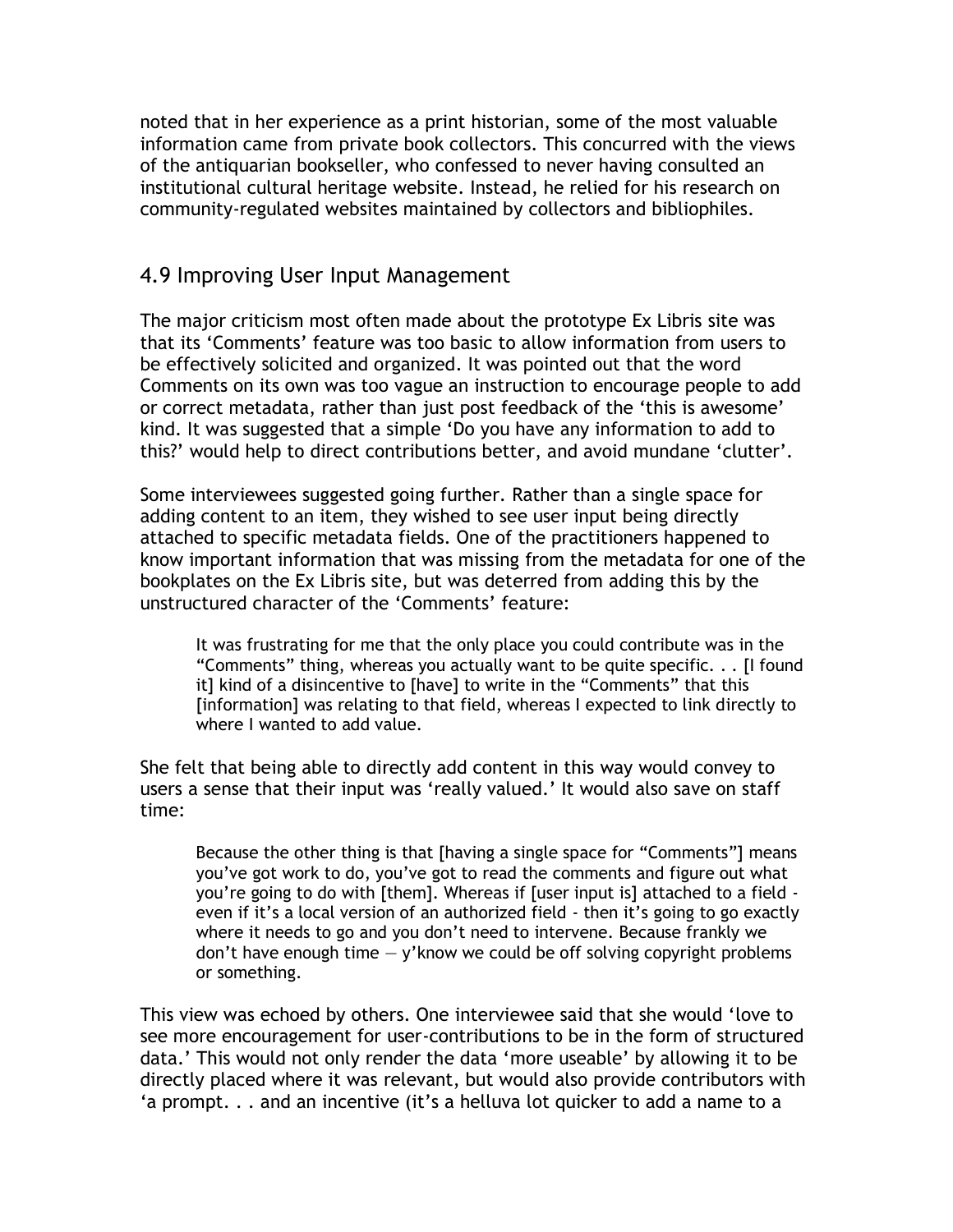noted that in her experience as a print historian, some of the most valuable information came from private book collectors. This concurred with the views of the antiquarian bookseller, who confessed to never having consulted an institutional cultural heritage website. Instead, he relied for his research on community-regulated websites maintained by collectors and bibliophiles.

#### 4.9 Improving User Input Management

The major criticism most often made about the prototype Ex Libris site was that its ‗Comments' feature was too basic to allow information from users to be effectively solicited and organized. It was pointed out that the word Comments on its own was too vague an instruction to encourage people to add or correct metadata, rather than just post feedback of the 'this is awesome' kind. It was suggested that a simple ‗Do you have any information to add to this?' would help to direct contributions better, and avoid mundane 'clutter'.

Some interviewees suggested going further. Rather than a single space for adding content to an item, they wished to see user input being directly attached to specific metadata fields. One of the practitioners happened to know important information that was missing from the metadata for one of the bookplates on the Ex Libris site, but was deterred from adding this by the unstructured character of the 'Comments' feature:

It was frustrating for me that the only place you could contribute was in the "Comments" thing, whereas you actually want to be quite specific. . . [I found it] kind of a disincentive to [have] to write in the "Comments" that this [information] was relating to that field, whereas I expected to link directly to where I wanted to add value.

She felt that being able to directly add content in this way would convey to users a sense that their input was 'really valued.' It would also save on staff time:

Because the other thing is that [having a single space for "Comments"] means you've got work to do, you've got to read the comments and figure out what you're going to do with [them]. Whereas if [user input is] attached to a field even if it's a local version of an authorized field - then it's going to go exactly where it needs to go and you don't need to intervene. Because frankly we don't have enough time  $-$  y'know we could be off solving copyright problems or something.

This view was echoed by others. One interviewee said that she would ‗love to see more encouragement for user-contributions to be in the form of structured data.' This would not only render the data 'more useable' by allowing it to be directly placed where it was relevant, but would also provide contributors with ‗a prompt. . . and an incentive (it's a helluva lot quicker to add a name to a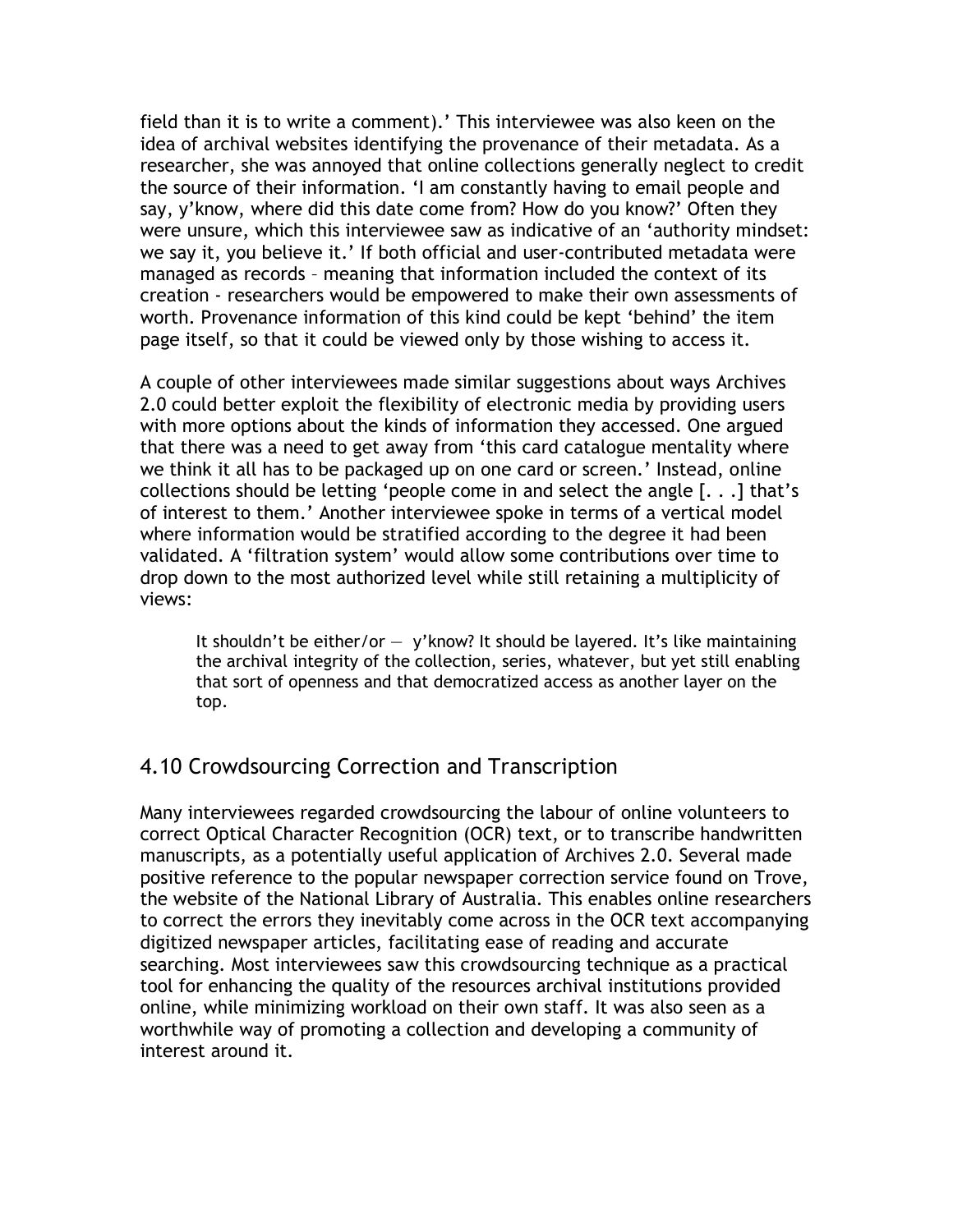field than it is to write a comment).' This interviewee was also keen on the idea of archival websites identifying the provenance of their metadata. As a researcher, she was annoyed that online collections generally neglect to credit the source of their information. 'I am constantly having to email people and say, y'know, where did this date come from? How do you know?' Often they were unsure, which this interviewee saw as indicative of an 'authority mindset: we say it, you believe it.' If both official and user-contributed metadata were managed as records – meaning that information included the context of its creation - researchers would be empowered to make their own assessments of worth. Provenance information of this kind could be kept 'behind' the item page itself, so that it could be viewed only by those wishing to access it.

A couple of other interviewees made similar suggestions about ways Archives 2.0 could better exploit the flexibility of electronic media by providing users with more options about the kinds of information they accessed. One argued that there was a need to get away from 'this card catalogue mentality where we think it all has to be packaged up on one card or screen.' Instead, online collections should be letting 'people come in and select the angle  $[...]$  that's of interest to them.' Another interviewee spoke in terms of a vertical model where information would be stratified according to the degree it had been validated. A 'filtration system' would allow some contributions over time to drop down to the most authorized level while still retaining a multiplicity of views:

It shouldn't be either/or  $-$  y'know? It should be layered. It's like maintaining the archival integrity of the collection, series, whatever, but yet still enabling that sort of openness and that democratized access as another layer on the top.

### 4.10 Crowdsourcing Correction and Transcription

Many interviewees regarded crowdsourcing the labour of online volunteers to correct Optical Character Recognition (OCR) text, or to transcribe handwritten manuscripts, as a potentially useful application of Archives 2.0. Several made positive reference to the popular newspaper correction service found on Trove, the website of the National Library of Australia. This enables online researchers to correct the errors they inevitably come across in the OCR text accompanying digitized newspaper articles, facilitating ease of reading and accurate searching. Most interviewees saw this crowdsourcing technique as a practical tool for enhancing the quality of the resources archival institutions provided online, while minimizing workload on their own staff. It was also seen as a worthwhile way of promoting a collection and developing a community of interest around it.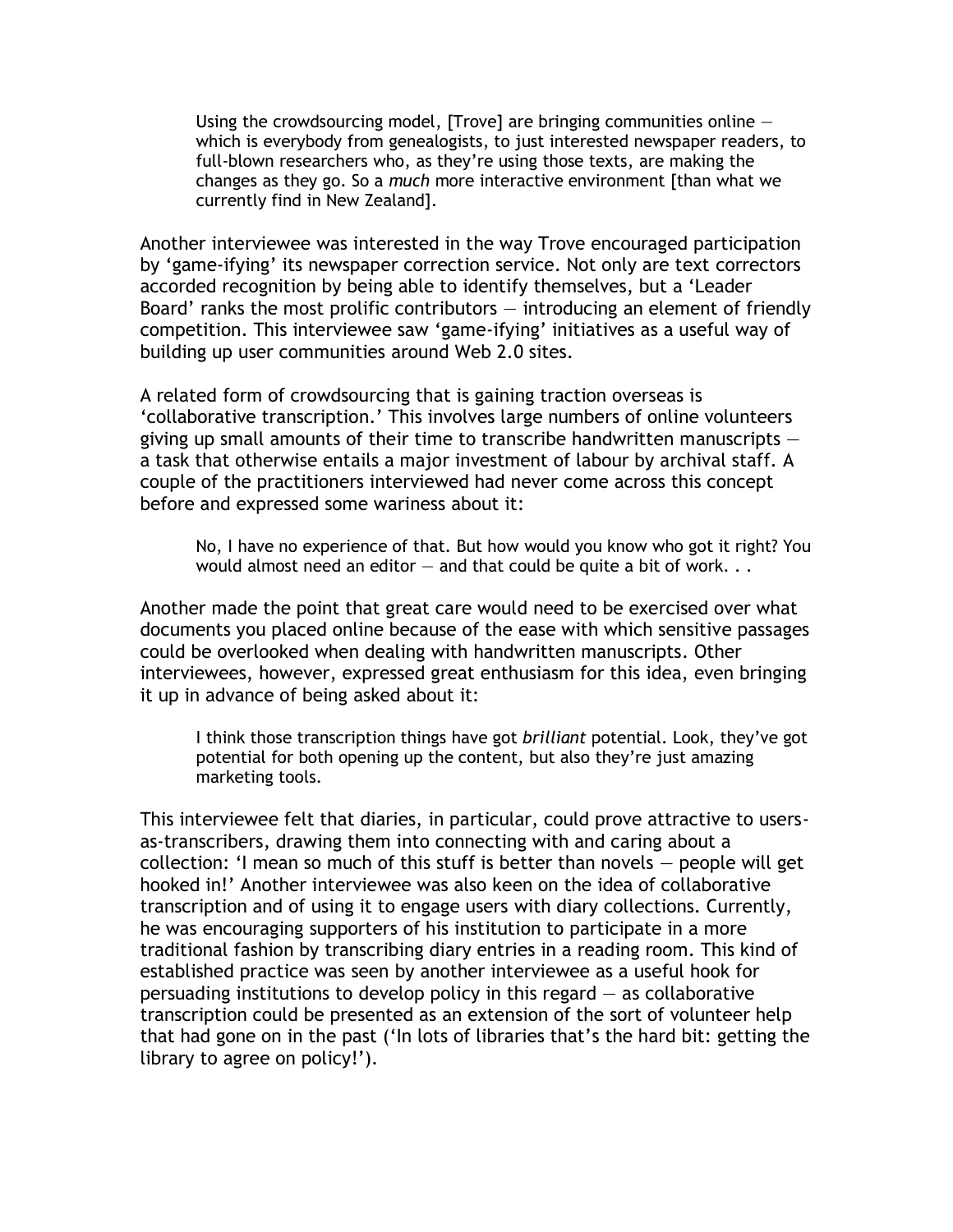Using the crowdsourcing model, [Trove] are bringing communities online  $$ which is everybody from genealogists, to just interested newspaper readers, to full-blown researchers who, as they're using those texts, are making the changes as they go. So a *much* more interactive environment [than what we currently find in New Zealand].

Another interviewee was interested in the way Trove encouraged participation by ‗game-ifying' its newspaper correction service. Not only are text correctors accorded recognition by being able to identify themselves, but a 'Leader Board' ranks the most prolific contributors — introducing an element of friendly competition. This interviewee saw ‗game-ifying' initiatives as a useful way of building up user communities around Web 2.0 sites.

A related form of crowdsourcing that is gaining traction overseas is ‗collaborative transcription.' This involves large numbers of online volunteers giving up small amounts of their time to transcribe handwritten manuscripts a task that otherwise entails a major investment of labour by archival staff. A couple of the practitioners interviewed had never come across this concept before and expressed some wariness about it:

No, I have no experience of that. But how would you know who got it right? You would almost need an editor  $-$  and that could be quite a bit of work.  $\ldots$ 

Another made the point that great care would need to be exercised over what documents you placed online because of the ease with which sensitive passages could be overlooked when dealing with handwritten manuscripts. Other interviewees, however, expressed great enthusiasm for this idea, even bringing it up in advance of being asked about it:

I think those transcription things have got *brilliant* potential. Look, they've got potential for both opening up the content, but also they're just amazing marketing tools.

This interviewee felt that diaries, in particular, could prove attractive to usersas-transcribers, drawing them into connecting with and caring about a collection: 'I mean so much of this stuff is better than novels  $-$  people will get hooked in!' Another interviewee was also keen on the idea of collaborative transcription and of using it to engage users with diary collections. Currently, he was encouraging supporters of his institution to participate in a more traditional fashion by transcribing diary entries in a reading room. This kind of established practice was seen by another interviewee as a useful hook for persuading institutions to develop policy in this regard  $-$  as collaborative transcription could be presented as an extension of the sort of volunteer help that had gone on in the past ('In lots of libraries that's the hard bit: getting the library to agree on policy!').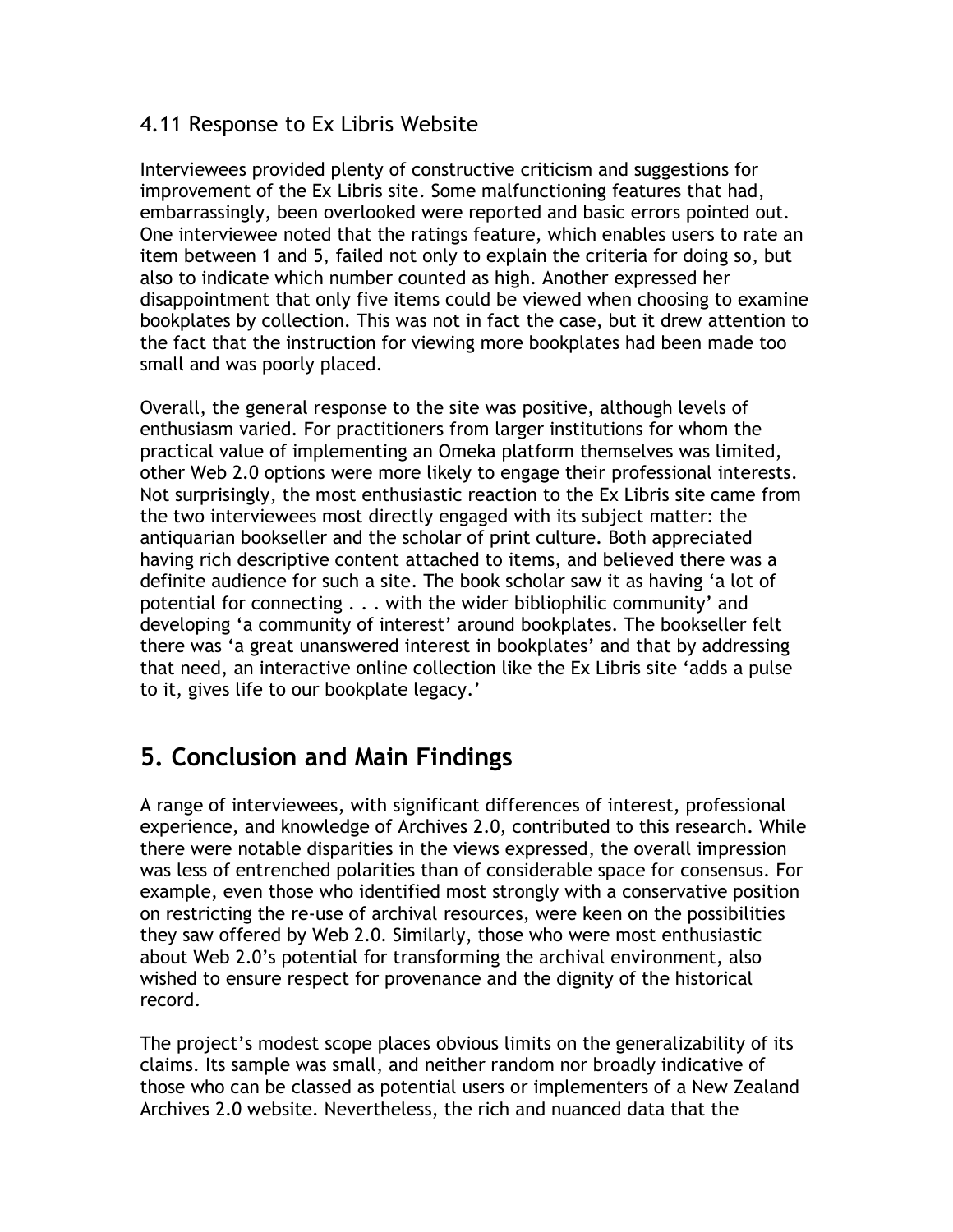### 4.11 Response to Ex Libris Website

Interviewees provided plenty of constructive criticism and suggestions for improvement of the Ex Libris site. Some malfunctioning features that had, embarrassingly, been overlooked were reported and basic errors pointed out. One interviewee noted that the ratings feature, which enables users to rate an item between 1 and 5, failed not only to explain the criteria for doing so, but also to indicate which number counted as high. Another expressed her disappointment that only five items could be viewed when choosing to examine bookplates by collection. This was not in fact the case, but it drew attention to the fact that the instruction for viewing more bookplates had been made too small and was poorly placed.

Overall, the general response to the site was positive, although levels of enthusiasm varied. For practitioners from larger institutions for whom the practical value of implementing an Omeka platform themselves was limited, other Web 2.0 options were more likely to engage their professional interests. Not surprisingly, the most enthusiastic reaction to the Ex Libris site came from the two interviewees most directly engaged with its subject matter: the antiquarian bookseller and the scholar of print culture. Both appreciated having rich descriptive content attached to items, and believed there was a definite audience for such a site. The book scholar saw it as having 'a lot of potential for connecting . . . with the wider bibliophilic community' and developing ‗a community of interest' around bookplates. The bookseller felt there was 'a great unanswered interest in bookplates' and that by addressing that need, an interactive online collection like the Ex Libris site 'adds a pulse to it, gives life to our bookplate legacy.'

## **5. Conclusion and Main Findings**

A range of interviewees, with significant differences of interest, professional experience, and knowledge of Archives 2.0, contributed to this research. While there were notable disparities in the views expressed, the overall impression was less of entrenched polarities than of considerable space for consensus. For example, even those who identified most strongly with a conservative position on restricting the re-use of archival resources, were keen on the possibilities they saw offered by Web 2.0. Similarly, those who were most enthusiastic about Web 2.0's potential for transforming the archival environment, also wished to ensure respect for provenance and the dignity of the historical record.

The project's modest scope places obvious limits on the generalizability of its claims. Its sample was small, and neither random nor broadly indicative of those who can be classed as potential users or implementers of a New Zealand Archives 2.0 website. Nevertheless, the rich and nuanced data that the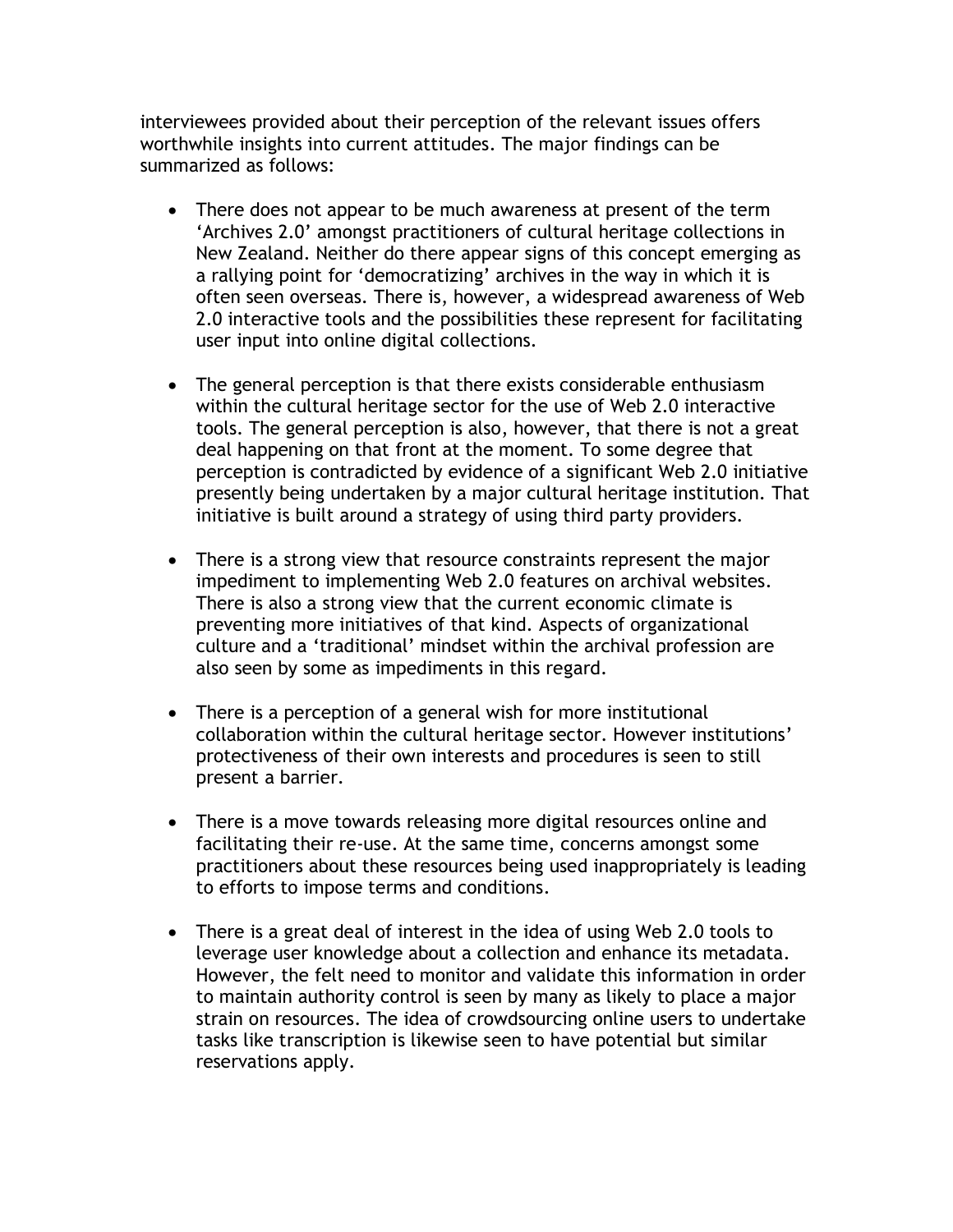interviewees provided about their perception of the relevant issues offers worthwhile insights into current attitudes. The major findings can be summarized as follows:

- There does not appear to be much awareness at present of the term ‗Archives 2.0' amongst practitioners of cultural heritage collections in New Zealand. Neither do there appear signs of this concept emerging as a rallying point for 'democratizing' archives in the way in which it is often seen overseas. There is, however, a widespread awareness of Web 2.0 interactive tools and the possibilities these represent for facilitating user input into online digital collections.
- The general perception is that there exists considerable enthusiasm within the cultural heritage sector for the use of Web 2.0 interactive tools. The general perception is also, however, that there is not a great deal happening on that front at the moment. To some degree that perception is contradicted by evidence of a significant Web 2.0 initiative presently being undertaken by a major cultural heritage institution. That initiative is built around a strategy of using third party providers.
- There is a strong view that resource constraints represent the major impediment to implementing Web 2.0 features on archival websites. There is also a strong view that the current economic climate is preventing more initiatives of that kind. Aspects of organizational culture and a 'traditional' mindset within the archival profession are also seen by some as impediments in this regard.
- There is a perception of a general wish for more institutional collaboration within the cultural heritage sector. However institutions' protectiveness of their own interests and procedures is seen to still present a barrier.
- There is a move towards releasing more digital resources online and facilitating their re-use. At the same time, concerns amongst some practitioners about these resources being used inappropriately is leading to efforts to impose terms and conditions.
- There is a great deal of interest in the idea of using Web 2.0 tools to leverage user knowledge about a collection and enhance its metadata. However, the felt need to monitor and validate this information in order to maintain authority control is seen by many as likely to place a major strain on resources. The idea of crowdsourcing online users to undertake tasks like transcription is likewise seen to have potential but similar reservations apply.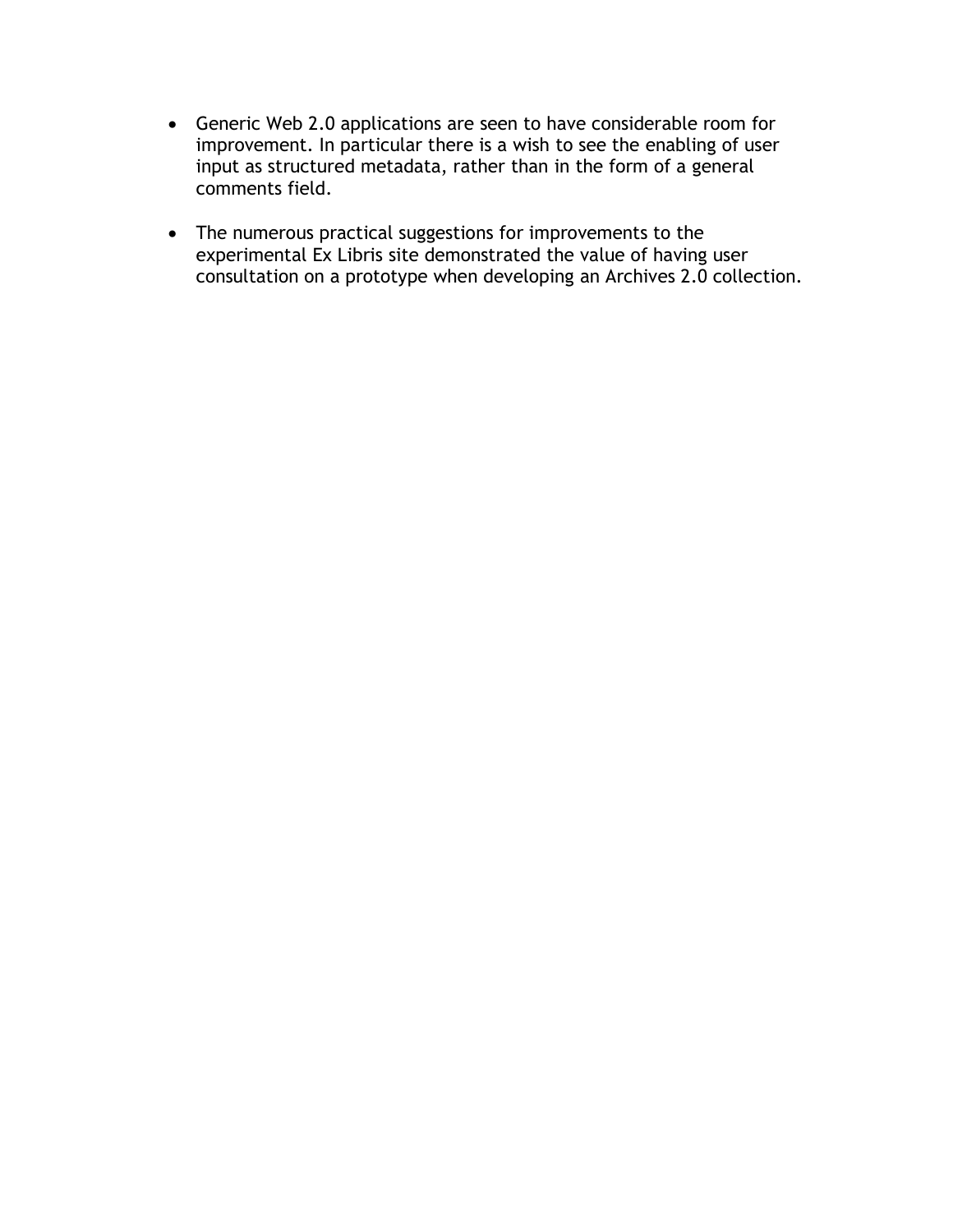- Generic Web 2.0 applications are seen to have considerable room for improvement. In particular there is a wish to see the enabling of user input as structured metadata, rather than in the form of a general comments field.
- The numerous practical suggestions for improvements to the experimental Ex Libris site demonstrated the value of having user consultation on a prototype when developing an Archives 2.0 collection.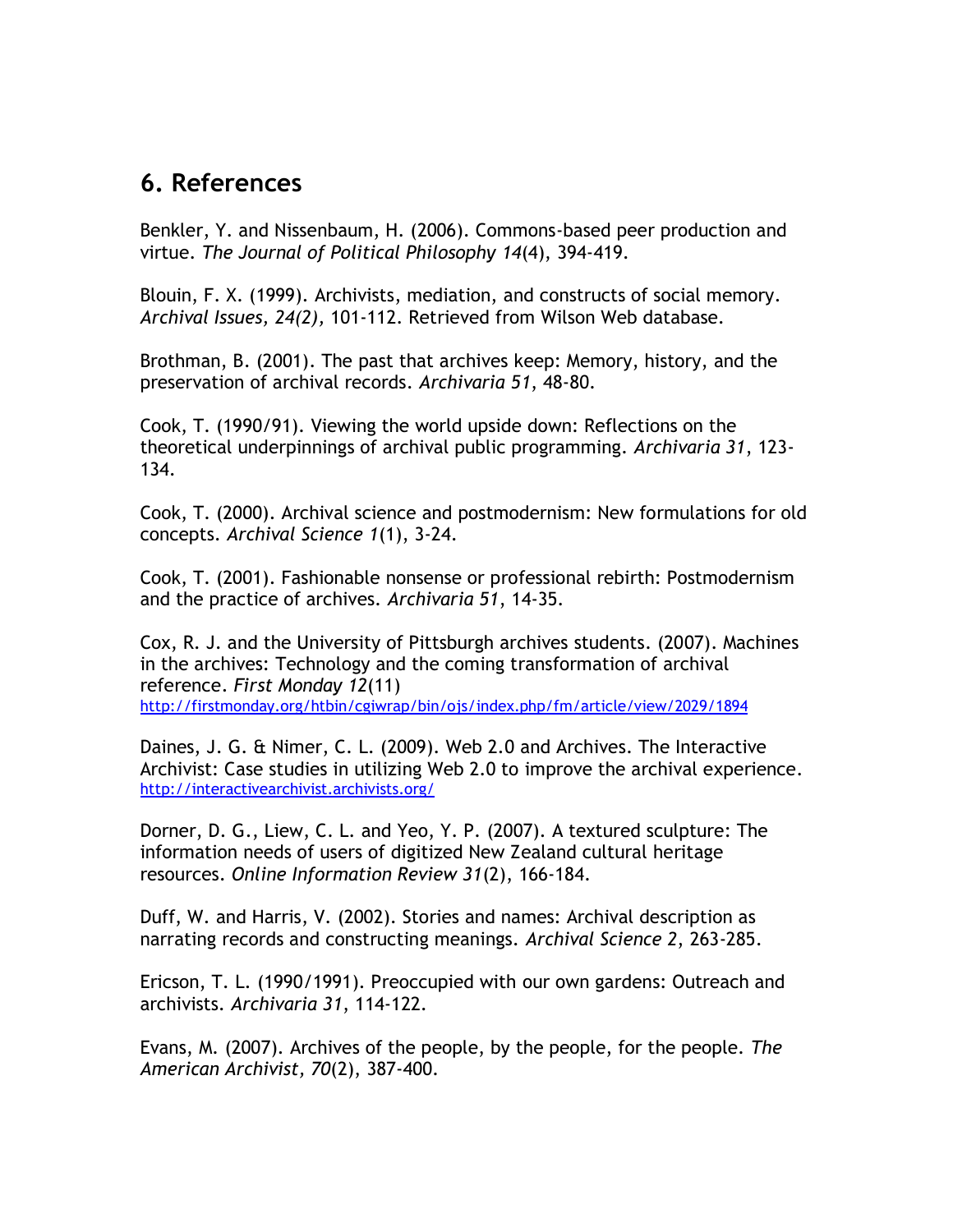## **6. References**

Benkler, Y. and Nissenbaum, H. (2006). Commons-based peer production and virtue. *The Journal of Political Philosophy 14*(4), 394-419.

Blouin, F. X. (1999). Archivists, mediation, and constructs of social memory. *Archival Issues, 24(2),* 101-112. Retrieved from Wilson Web database.

Brothman, B. (2001). The past that archives keep: Memory, history, and the preservation of archival records. *Archivaria 51*, 48-80.

Cook, T. (1990/91). Viewing the world upside down: Reflections on the theoretical underpinnings of archival public programming. *Archivaria 31*, 123- 134.

Cook, T. (2000). Archival science and postmodernism: New formulations for old concepts. *Archival Science 1*(1), 3-24.

Cook, T. (2001). Fashionable nonsense or professional rebirth: Postmodernism and the practice of archives. *Archivaria 51*, 14-35.

Cox, R. J. and the University of Pittsburgh archives students. (2007). Machines in the archives: Technology and the coming transformation of archival reference. *First Monday 12*(11) <http://firstmonday.org/htbin/cgiwrap/bin/ojs/index.php/fm/article/view/2029/1894>

Daines, J. G. & Nimer, C. L. (2009). Web 2.0 and [Archives.](http://lib.byu.edu/sites/interactivearchivist/) The Interactive Archivist: Case studies in utilizing Web 2.0 to improve the archival experience. <http://interactivearchivist.archivists.org/>

Dorner, D. G., Liew, C. L. and Yeo, Y. P. (2007). A textured sculpture: The information needs of users of digitized New Zealand cultural heritage resources. *Online Information Review 31*(2), 166-184.

Duff, W. and Harris, V. (2002). Stories and names: Archival description as narrating records and constructing meanings. *Archival Science 2*, 263-285.

Ericson, T. L. (1990/1991). Preoccupied with our own gardens: Outreach and archivists. *Archivaria 31*, 114-122.

Evans, M. (2007). Archives of the people, by the people, for the people. *The American Archivist, 70*(2), 387-400.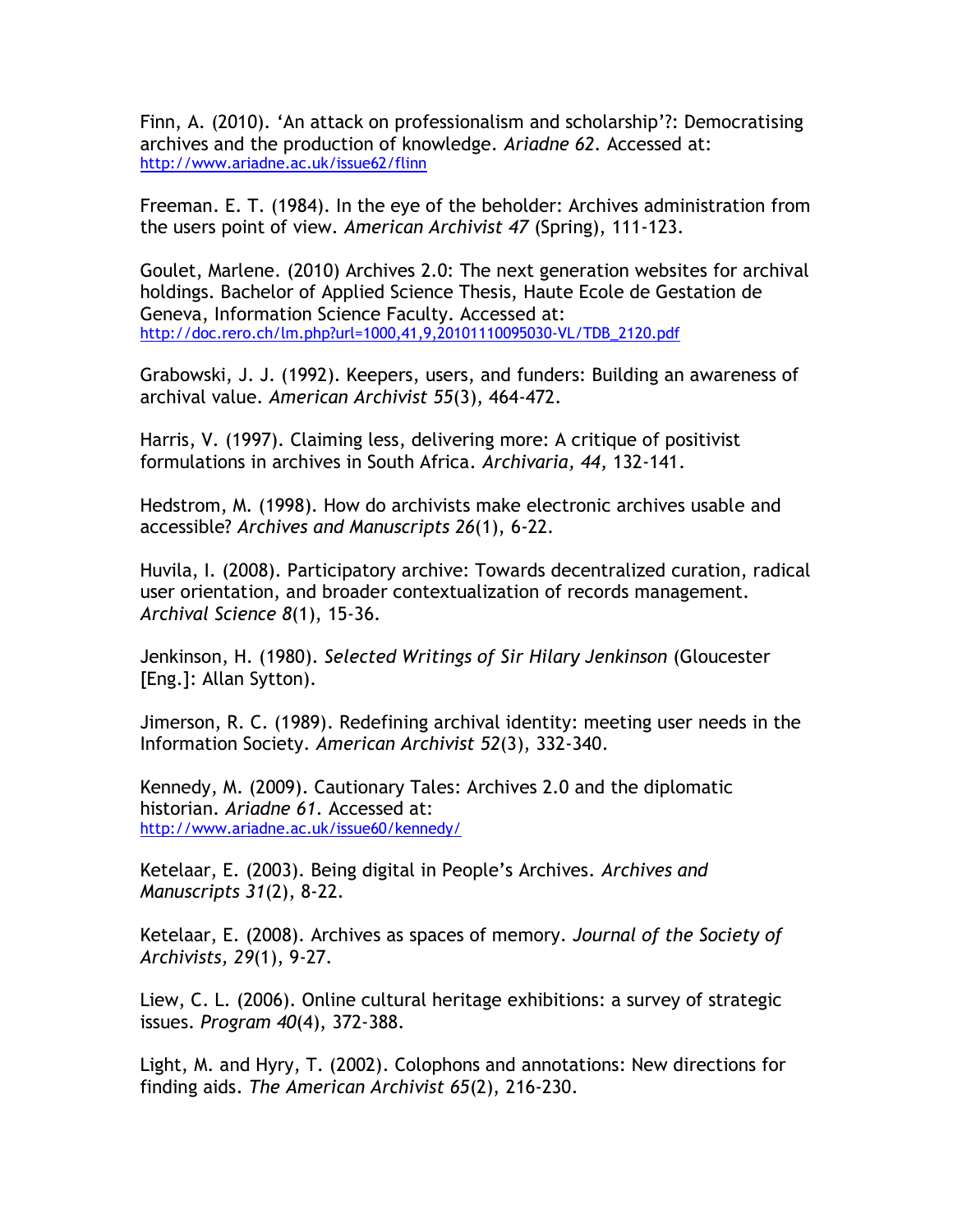Finn, A. (2010). 'An attack on professionalism and scholarship'?: Democratising archives and the production of knowledge. *Ariadne 62*. Accessed at: <http://www.ariadne.ac.uk/issue62/flinn>

Freeman. E. T. (1984). In the eye of the beholder: Archives administration from the users point of view. *American Archivist 47* (Spring), 111-123.

Goulet, Marlene. (2010) Archives 2.0: The next generation websites for archival holdings. Bachelor of Applied Science Thesis, Haute Ecole de Gestation de Geneva, Information Science Faculty. Accessed at: [http://doc.rero.ch/lm.php?url=1000,41,9,20101110095030-VL/TDB\\_2120.pdf](http://doc.rero.ch/lm.php?url=1000,41,9,20101110095030-VL/TDB_2120.pdf)

Grabowski, J. J. (1992). Keepers, users, and funders: Building an awareness of archival value. *American Archivist 55*(3), 464-472.

Harris, V. (1997). Claiming less, delivering more: A critique of positivist formulations in archives in South Africa. *Archivaria, 44,* 132-141.

Hedstrom, M. (1998). How do archivists make electronic archives usable and accessible? *Archives and Manuscripts 26*(1), 6-22.

Huvila, I. (2008). Participatory archive: Towards decentralized curation, radical user orientation, and broader contextualization of records management. *Archival Science 8*(1), 15-36.

Jenkinson, H. (1980). *Selected Writings of Sir Hilary Jenkinson* (Gloucester [Eng.]: Allan Sytton).

Jimerson, R. C. (1989). Redefining archival identity: meeting user needs in the Information Society. *American Archivist 52*(3), 332-340.

Kennedy, M. (2009). Cautionary Tales: Archives 2.0 and the diplomatic historian. *Ariadne 61*. Accessed at: <http://www.ariadne.ac.uk/issue60/kennedy/>

Ketelaar, E. (2003). Being digital in People's Archives. *Archives and Manuscripts 31*(2), 8-22.

Ketelaar, E. (2008). Archives as spaces of memory. *Journal of the Society of Archivists, 29*(1), 9-27.

Liew, C. L. (2006). Online cultural heritage exhibitions: a survey of strategic issues. *Program 40*(4), 372-388.

Light, M. and Hyry, T. (2002). Colophons and annotations: New directions for finding aids. *The American Archivist 65*(2), 216-230.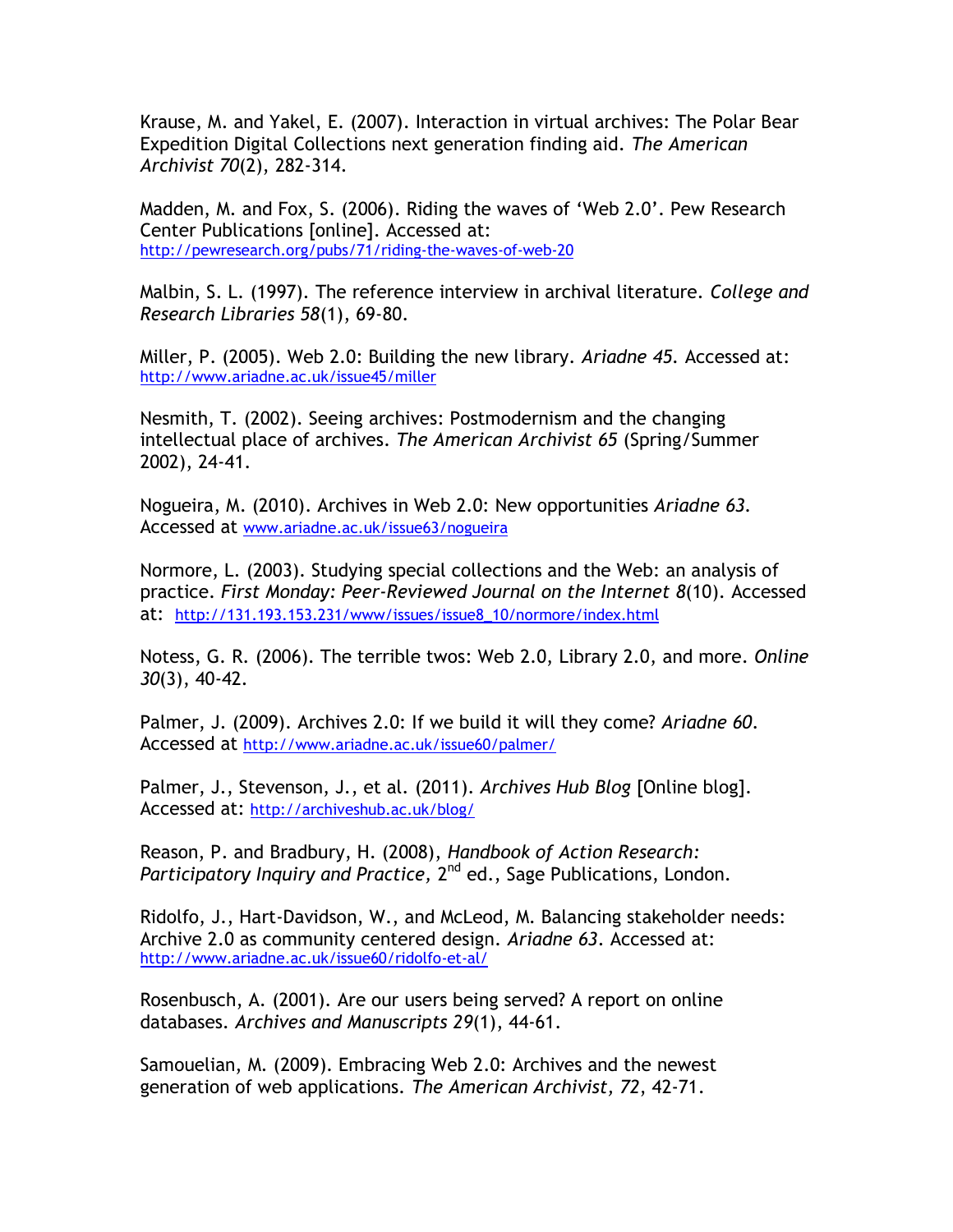Krause, M. and Yakel, E. (2007). Interaction in virtual archives: The Polar Bear Expedition Digital Collections next generation finding aid. *The American Archivist 70*(2), 282-314.

Madden, M. and Fox, S. (2006). Riding the waves of ‗Web 2.0'. Pew Research Center Publications [online]. Accessed at: <http://pewresearch.org/pubs/71/riding-the-waves-of-web-20>

Malbin, S. L. (1997). The reference interview in archival literature. *College and Research Libraries 58*(1), 69-80.

Miller, P. (2005). Web 2.0: Building the new library. *Ariadne 45.* Accessed at: <http://www.ariadne.ac.uk/issue45/miller>

Nesmith, T. (2002). Seeing archives: Postmodernism and the changing intellectual place of archives. *The American Archivist 65* (Spring/Summer 2002), 24-41.

Nogueira, M. (2010). Archives in Web 2.0: New opportunities *Ariadne 63.*  Accessed at [www.ariadne.ac.uk/issue63/nogueira](http://www.ariadne.ac.uk/issue63/nogueira)

Normore, L. (2003). Studying special collections and the Web: an analysis of practice. *First Monday: Peer-Reviewed Journal on the Internet 8*(10). Accessed at: [http://131.193.153.231/www/issues/issue8\\_10/normore/index.html](http://131.193.153.231/www/issues/issue8_10/normore/index.html)

Notess, G. R. (2006). The terrible twos: Web 2.0, Library 2.0, and more. *Online 30*(3), 40-42.

Palmer, J. (2009). Archives 2.0: If we build it will they come? *Ariadne 60*. Accessed at <http://www.ariadne.ac.uk/issue60/palmer/>

Palmer, J., Stevenson, J., et al. (2011). *Archives Hub Blog* [Online blog]. Accessed at: <http://archiveshub.ac.uk/blog/>

Reason, P. and Bradbury, H. (2008), *Handbook of Action Research:*  Participatory Inquiry and Practice, 2<sup>nd</sup> ed., Sage Publications, London.

Ridolfo, J., Hart-Davidson, W., and McLeod, M. Balancing stakeholder needs: Archive 2.0 as community centered design. *Ariadne 63*. Accessed at: <http://www.ariadne.ac.uk/issue60/ridolfo-et-al/>

Rosenbusch, A. (2001). Are our users being served? A report on online databases. *Archives and Manuscripts 29*(1), 44-61.

Samouelian, M. (2009). Embracing Web 2.0: Archives and the newest generation of web applications. *The American Archivist, 72*, 42-71.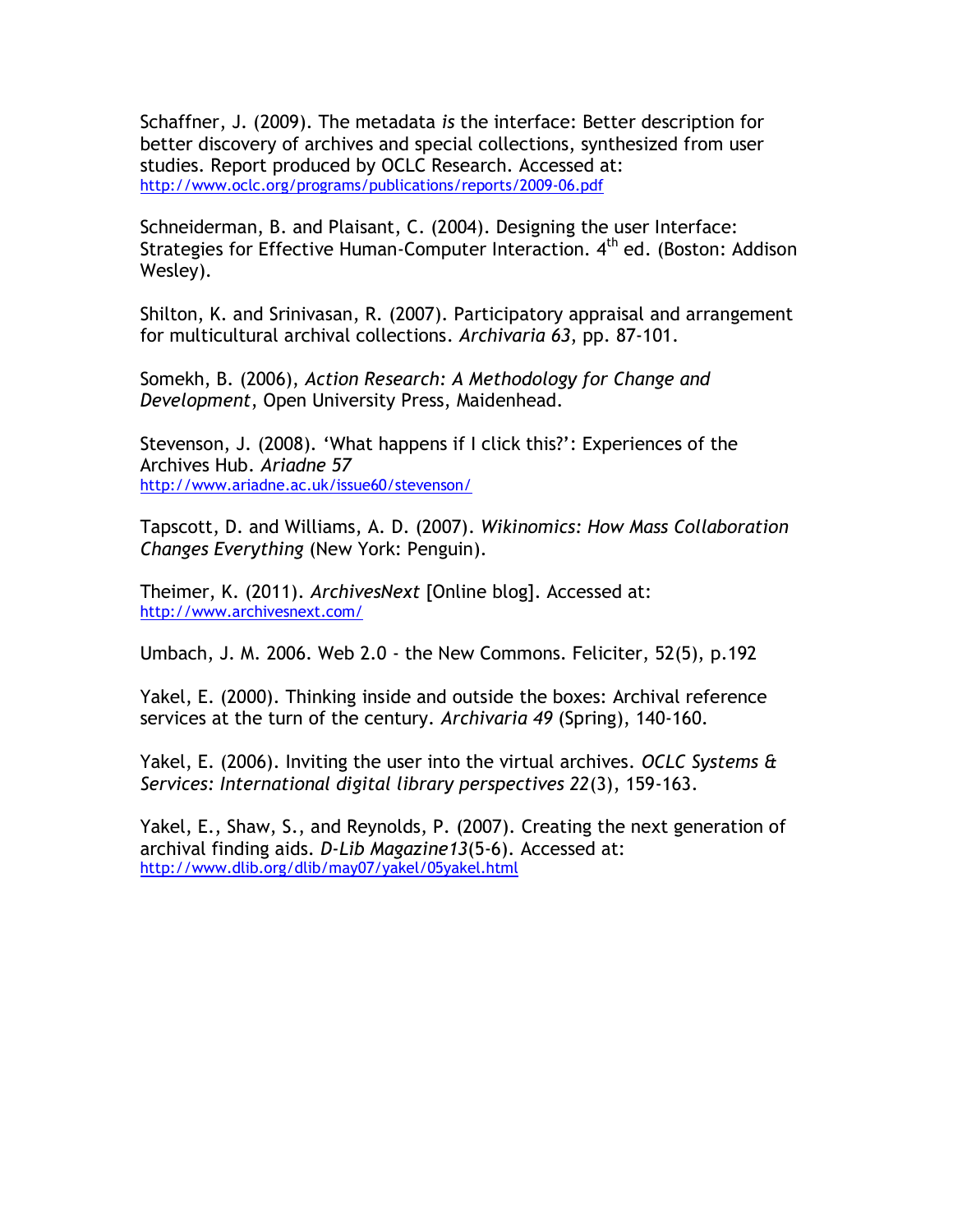Schaffner, J. (2009). The metadata *is* the interface: Better description for better discovery of archives and special collections, synthesized from user studies. Report produced by OCLC Research. Accessed at: <http://www.oclc.org/programs/publications/reports/2009-06.pdf>

Schneiderman, B. and Plaisant, C. (2004). Designing the user Interface: Strategies for Effective Human-Computer Interaction. 4<sup>th</sup> ed. (Boston: Addison Wesley).

Shilton, K. and Srinivasan, R. (2007). Participatory appraisal and arrangement for multicultural archival collections. *Archivaria 63*, pp. 87-101.

Somekh, B. (2006), *Action Research: A Methodology for Change and Development*, Open University Press, Maidenhead.

Stevenson, J. (2008). ‗What happens if I click this?': Experiences of the Archives Hub. *Ariadne 57* <http://www.ariadne.ac.uk/issue60/stevenson/>

Tapscott, D. and Williams, A. D. (2007). *Wikinomics: How Mass Collaboration Changes Everything* (New York: Penguin).

Theimer, K. (2011). *ArchivesNext* [Online blog]. Accessed at: <http://www.archivesnext.com/>

Umbach, J. M. 2006. Web 2.0 - the New Commons. Feliciter, 52(5), p.192

Yakel, E. (2000). Thinking inside and outside the boxes: Archival reference services at the turn of the century. *Archivaria 49* (Spring), 140-160.

Yakel, E. (2006). Inviting the user into the virtual archives. *OCLC Systems & Services: International digital library perspectives 22*(3), 159-163.

Yakel, E., Shaw, S., and Reynolds, P. (2007). Creating the next generation of archival finding aids. *D-Lib Magazine13*(5-6). Accessed at: <http://www.dlib.org/dlib/may07/yakel/05yakel.html>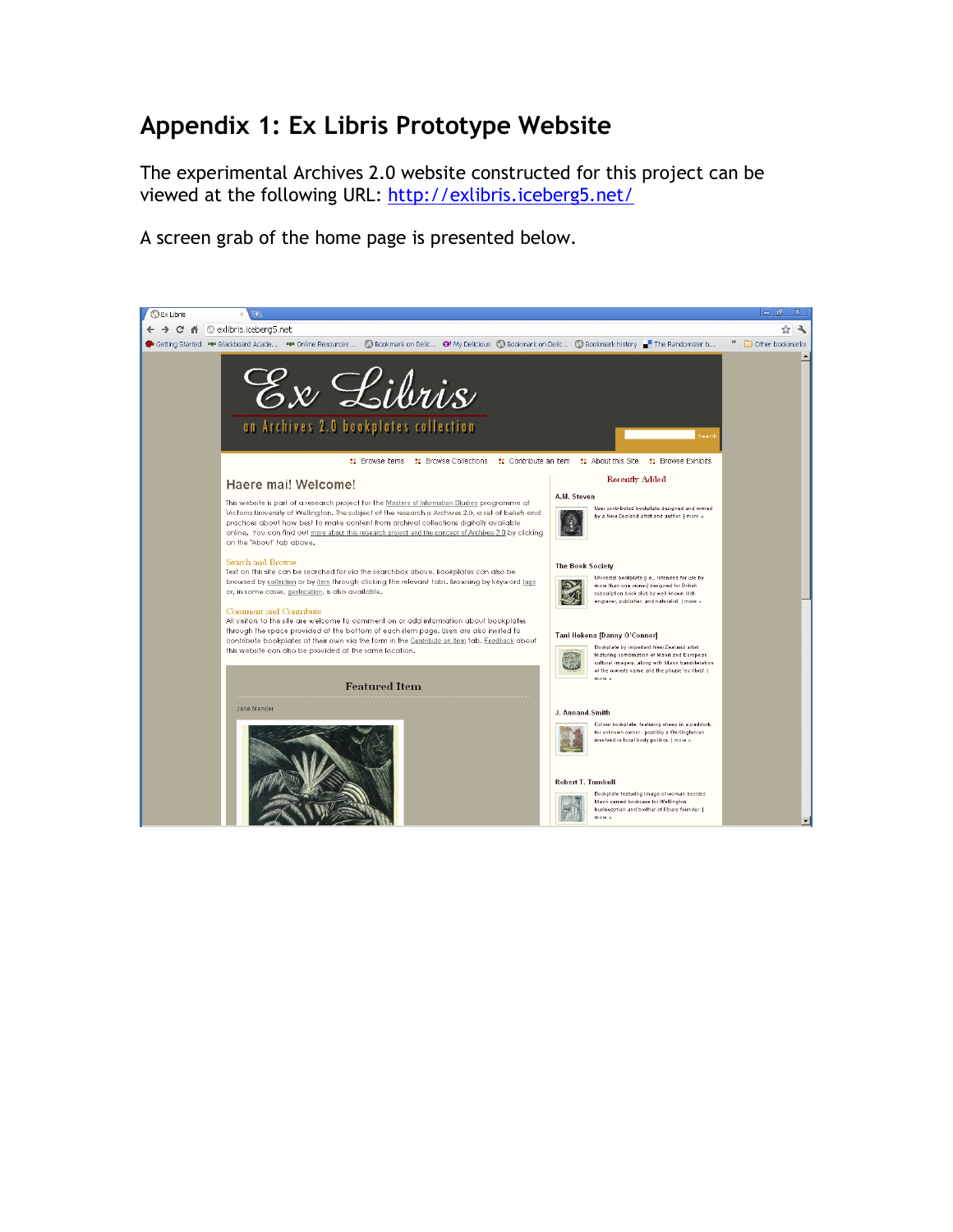## **Appendix 1: Ex Libris Prototype Website**

The experimental Archives 2.0 website constructed for this project can be viewed at the following URL:<http://exlibris.iceberg5.net/>

A screen grab of the home page is presented below.

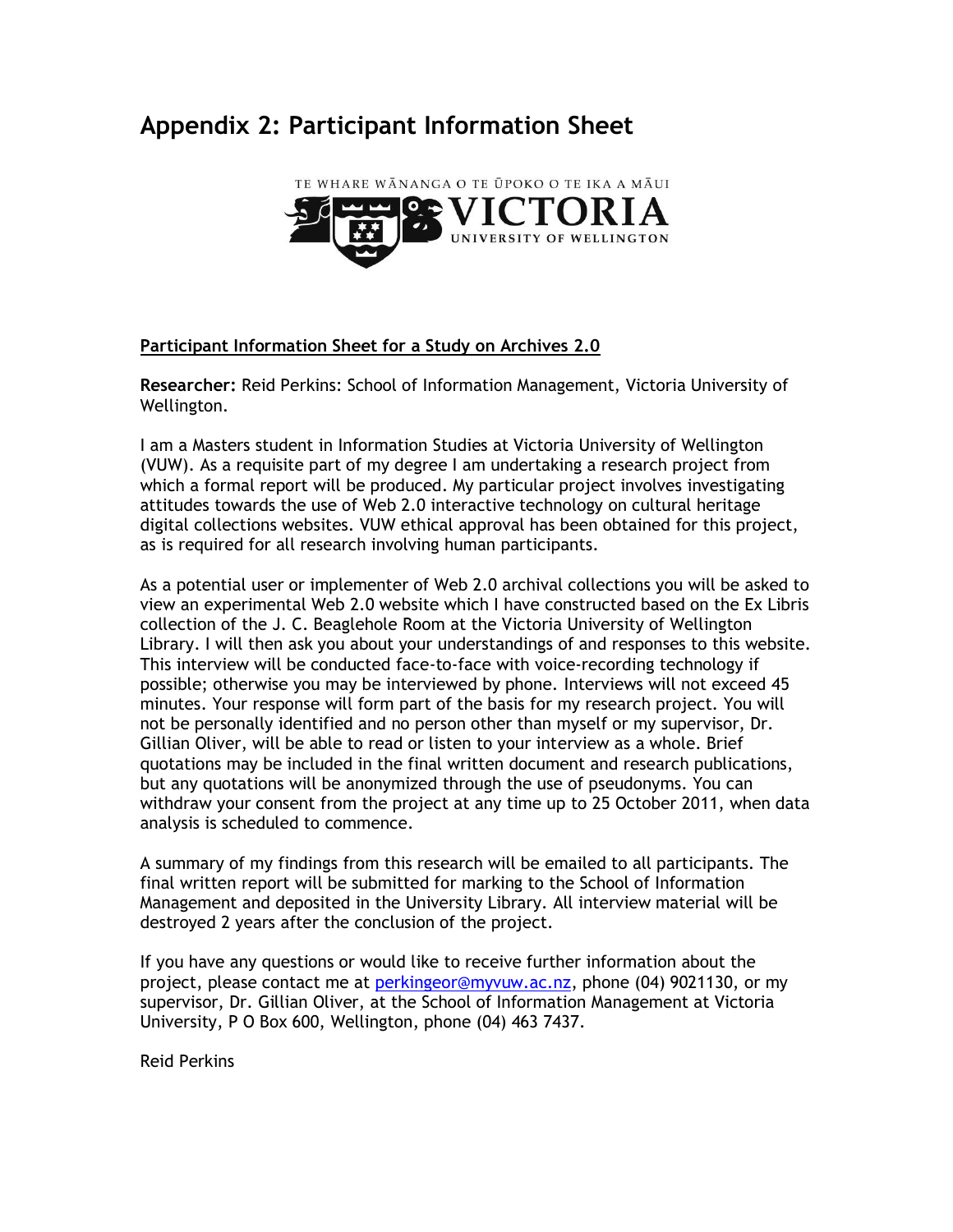## **Appendix 2: Participant Information Sheet**



#### **Participant Information Sheet for a Study on Archives 2.0**

**Researcher:** Reid Perkins: School of Information Management, Victoria University of Wellington.

I am a Masters student in Information Studies at Victoria University of Wellington (VUW). As a requisite part of my degree I am undertaking a research project from which a formal report will be produced. My particular project involves investigating attitudes towards the use of Web 2.0 interactive technology on cultural heritage digital collections websites. VUW ethical approval has been obtained for this project, as is required for all research involving human participants.

As a potential user or implementer of Web 2.0 archival collections you will be asked to view an experimental Web 2.0 website which I have constructed based on the Ex Libris collection of the J. C. Beaglehole Room at the Victoria University of Wellington Library. I will then ask you about your understandings of and responses to this website. This interview will be conducted face-to-face with voice-recording technology if possible; otherwise you may be interviewed by phone. Interviews will not exceed 45 minutes. Your response will form part of the basis for my research project. You will not be personally identified and no person other than myself or my supervisor, Dr. Gillian Oliver, will be able to read or listen to your interview as a whole. Brief quotations may be included in the final written document and research publications, but any quotations will be anonymized through the use of pseudonyms. You can withdraw your consent from the project at any time up to 25 October 2011, when data analysis is scheduled to commence.

A summary of my findings from this research will be emailed to all participants. The final written report will be submitted for marking to the School of Information Management and deposited in the University Library. All interview material will be destroyed 2 years after the conclusion of the project.

If you have any questions or would like to receive further information about the project, please contact me at [perkingeor@myvuw.ac.nz,](mailto:perkingeor@myvuw.ac.nz) phone (04) 9021130, or my supervisor, Dr. Gillian Oliver, at the School of Information Management at Victoria University, P O Box 600, Wellington, phone (04) 463 7437.

Reid Perkins